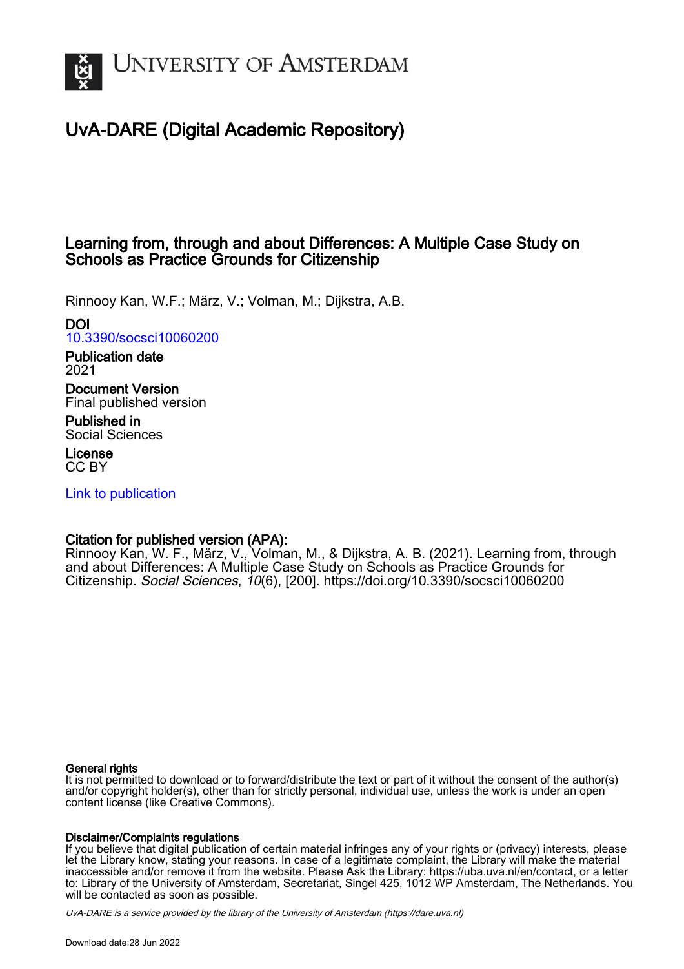

# UvA-DARE (Digital Academic Repository)

# Learning from, through and about Differences: A Multiple Case Study on Schools as Practice Grounds for Citizenship

Rinnooy Kan, W.F.; März, V.; Volman, M.; Dijkstra, A.B.

## DOI

[10.3390/socsci10060200](https://doi.org/10.3390/socsci10060200)

## Publication date 2021

Document Version Final published version

Published in Social Sciences

License CC BY

[Link to publication](https://dare.uva.nl/personal/pure/en/publications/learning-from-through-and-about-differences-a-multiple-case-study-on-schools-as-practice-grounds-for-citizenship(ae5c25c5-fc7d-4b06-a57d-26beace2babf).html)

## Citation for published version (APA):

Rinnooy Kan, W. F., März, V., Volman, M., & Dijkstra, A. B. (2021). Learning from, through and about Differences: A Multiple Case Study on Schools as Practice Grounds for Citizenship. Social Sciences, 10(6), [200]. <https://doi.org/10.3390/socsci10060200>

## General rights

It is not permitted to download or to forward/distribute the text or part of it without the consent of the author(s) and/or copyright holder(s), other than for strictly personal, individual use, unless the work is under an open content license (like Creative Commons).

## Disclaimer/Complaints regulations

If you believe that digital publication of certain material infringes any of your rights or (privacy) interests, please let the Library know, stating your reasons. In case of a legitimate complaint, the Library will make the material inaccessible and/or remove it from the website. Please Ask the Library: https://uba.uva.nl/en/contact, or a letter to: Library of the University of Amsterdam, Secretariat, Singel 425, 1012 WP Amsterdam, The Netherlands. You will be contacted as soon as possible.

UvA-DARE is a service provided by the library of the University of Amsterdam (http*s*://dare.uva.nl)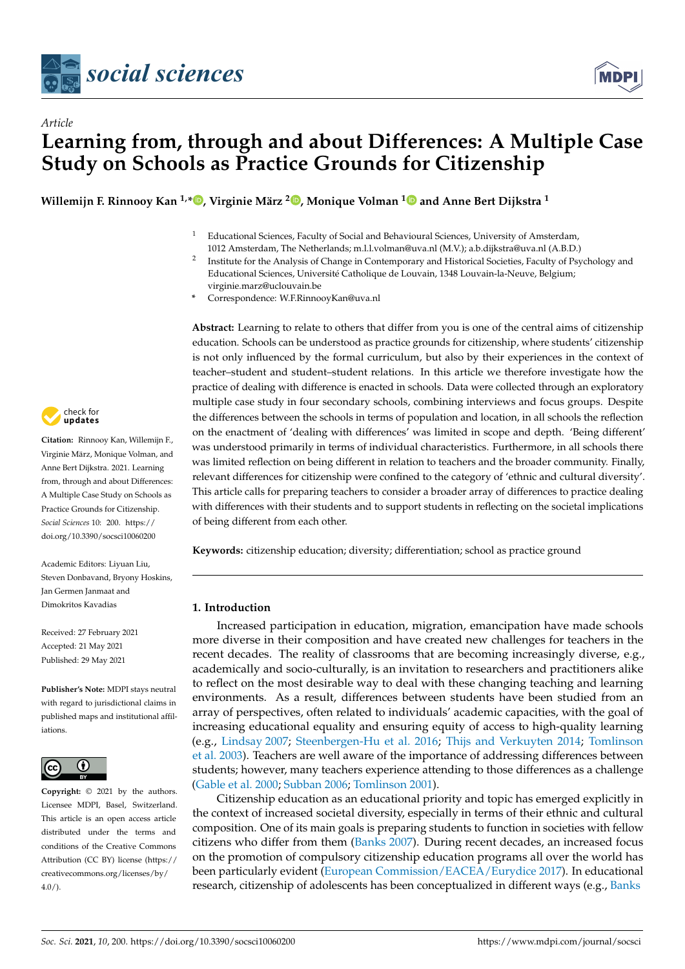



# *Article* **Learning from, through and about Differences: A Multiple Case Study on Schools as Practice Grounds for Citizenship**

**Willemijn F. Rinnooy Kan 1,\* [,](https://orcid.org/0000-0002-7424-7650) Virginie März <sup>2</sup> [,](https://orcid.org/0000-0002-0079-8329) Monique Volman [1](https://orcid.org/0000-0001-9217-1402) and Anne Bert Dijkstra <sup>1</sup>**

- <sup>1</sup> Educational Sciences, Faculty of Social and Behavioural Sciences, University of Amsterdam,
	- 1012 Amsterdam, The Netherlands; m.l.l.volman@uva.nl (M.V.); a.b.dijkstra@uva.nl (A.B.D.)
- 2 Institute for the Analysis of Change in Contemporary and Historical Societies, Faculty of Psychology and Educational Sciences, Université Catholique de Louvain, 1348 Louvain-la-Neuve, Belgium; virginie.marz@uclouvain.be
- **\*** Correspondence: W.F.RinnooyKan@uva.nl

**Abstract:** Learning to relate to others that differ from you is one of the central aims of citizenship education. Schools can be understood as practice grounds for citizenship, where students' citizenship is not only influenced by the formal curriculum, but also by their experiences in the context of teacher–student and student–student relations. In this article we therefore investigate how the practice of dealing with difference is enacted in schools. Data were collected through an exploratory multiple case study in four secondary schools, combining interviews and focus groups. Despite the differences between the schools in terms of population and location, in all schools the reflection on the enactment of 'dealing with differences' was limited in scope and depth. 'Being different' was understood primarily in terms of individual characteristics. Furthermore, in all schools there was limited reflection on being different in relation to teachers and the broader community. Finally, relevant differences for citizenship were confined to the category of 'ethnic and cultural diversity'. This article calls for preparing teachers to consider a broader array of differences to practice dealing with differences with their students and to support students in reflecting on the societal implications of being different from each other.

**Keywords:** citizenship education; diversity; differentiation; school as practice ground

## **1. Introduction**

Increased participation in education, migration, emancipation have made schools more diverse in their composition and have created new challenges for teachers in the recent decades. The reality of classrooms that are becoming increasingly diverse, e.g., academically and socio-culturally, is an invitation to researchers and practitioners alike to reflect on the most desirable way to deal with these changing teaching and learning environments. As a result, differences between students have been studied from an array of perspectives, often related to individuals' academic capacities, with the goal of increasing educational equality and ensuring equity of access to high-quality learning (e.g., [Lindsay](#page-17-0) [2007;](#page-17-0) [Steenbergen-Hu et al.](#page-17-1) [2016;](#page-17-1) [Thijs and Verkuyten](#page-17-2) [2014;](#page-17-2) [Tomlinson](#page-17-3) [et al.](#page-17-3) [2003\)](#page-17-3). Teachers are well aware of the importance of addressing differences between students; however, many teachers experience attending to those differences as a challenge [\(Gable et al.](#page-16-0) [2000;](#page-16-0) [Subban](#page-17-4) [2006;](#page-17-4) [Tomlinson](#page-17-5) [2001\)](#page-17-5).

Citizenship education as an educational priority and topic has emerged explicitly in the context of increased societal diversity, especially in terms of their ethnic and cultural composition. One of its main goals is preparing students to function in societies with fellow citizens who differ from them [\(Banks](#page-16-1) [2007\)](#page-16-1). During recent decades, an increased focus on the promotion of compulsory citizenship education programs all over the world has been particularly evident [\(European Commission/EACEA/Eurydice](#page-16-2) [2017\)](#page-16-2). In educational research, citizenship of adolescents has been conceptualized in different ways (e.g., [Banks](#page-16-3)



**Citation:** Rinnooy Kan, Willemijn F., Virginie März, Monique Volman, and Anne Bert Dijkstra. 2021. Learning from, through and about Differences: A Multiple Case Study on Schools as Practice Grounds for Citizenship. *Social Sciences* 10: 200. [https://](https://doi.org/10.3390/socsci10060200) [doi.org/10.3390/socsci10060200](https://doi.org/10.3390/socsci10060200)

Academic Editors: Liyuan Liu, Steven Donbavand, Bryony Hoskins, Jan Germen Janmaat and Dimokritos Kavadias

Received: 27 February 2021 Accepted: 21 May 2021 Published: 29 May 2021

**Publisher's Note:** MDPI stays neutral with regard to jurisdictional claims in published maps and institutional affiliations.



**Copyright:** © 2021 by the authors. Licensee MDPI, Basel, Switzerland. This article is an open access article distributed under the terms and conditions of the Creative Commons Attribution (CC BY) license (https:/[/](https://creativecommons.org/licenses/by/4.0/) [creativecommons.org/licenses/by/](https://creativecommons.org/licenses/by/4.0/)  $4.0/$ ).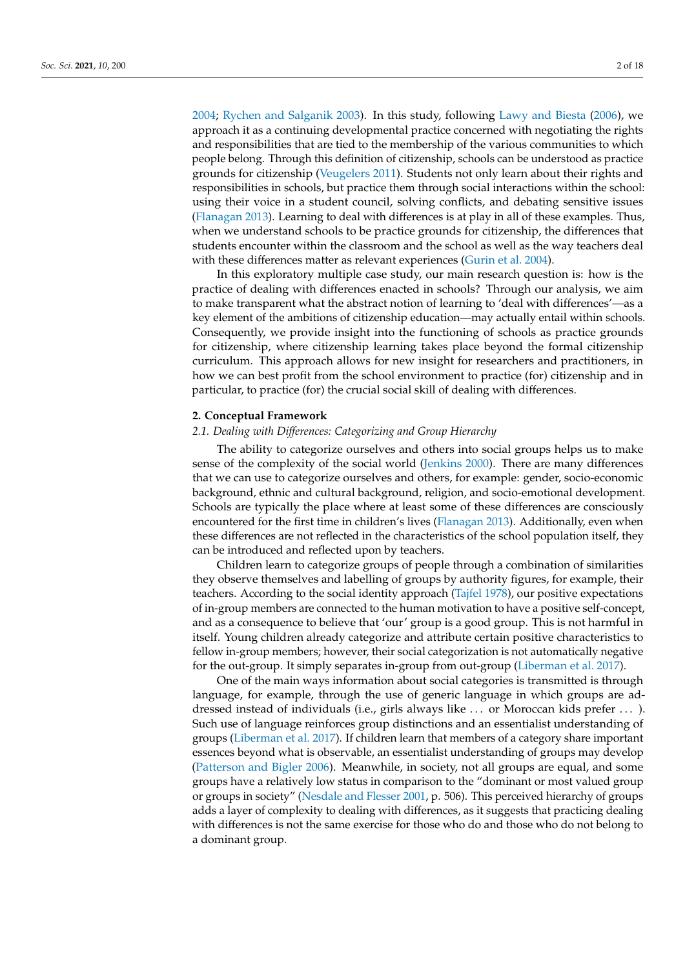[2004;](#page-16-3) [Rychen and Salganik](#page-17-6) [2003\)](#page-17-6). In this study, following [Lawy and Biesta](#page-17-7) [\(2006\)](#page-17-7), we approach it as a continuing developmental practice concerned with negotiating the rights and responsibilities that are tied to the membership of the various communities to which people belong. Through this definition of citizenship, schools can be understood as practice grounds for citizenship [\(Veugelers](#page-17-8) [2011\)](#page-17-8). Students not only learn about their rights and responsibilities in schools, but practice them through social interactions within the school: using their voice in a student council, solving conflicts, and debating sensitive issues [\(Flanagan](#page-16-4) [2013\)](#page-16-4). Learning to deal with differences is at play in all of these examples. Thus, when we understand schools to be practice grounds for citizenship, the differences that students encounter within the classroom and the school as well as the way teachers deal with these differences matter as relevant experiences [\(Gurin et al.](#page-16-5) [2004\)](#page-16-5).

In this exploratory multiple case study, our main research question is: how is the practice of dealing with differences enacted in schools? Through our analysis, we aim to make transparent what the abstract notion of learning to 'deal with differences'—as a key element of the ambitions of citizenship education—may actually entail within schools. Consequently, we provide insight into the functioning of schools as practice grounds for citizenship, where citizenship learning takes place beyond the formal citizenship curriculum. This approach allows for new insight for researchers and practitioners, in how we can best profit from the school environment to practice (for) citizenship and in particular, to practice (for) the crucial social skill of dealing with differences.

#### **2. Conceptual Framework**

#### *2.1. Dealing with Differences: Categorizing and Group Hierarchy*

The ability to categorize ourselves and others into social groups helps us to make sense of the complexity of the social world [\(Jenkins](#page-16-6) [2000\)](#page-16-6). There are many differences that we can use to categorize ourselves and others, for example: gender, socio-economic background, ethnic and cultural background, religion, and socio-emotional development. Schools are typically the place where at least some of these differences are consciously encountered for the first time in children's lives [\(Flanagan](#page-16-4) [2013\)](#page-16-4). Additionally, even when these differences are not reflected in the characteristics of the school population itself, they can be introduced and reflected upon by teachers.

Children learn to categorize groups of people through a combination of similarities they observe themselves and labelling of groups by authority figures, for example, their teachers. According to the social identity approach [\(Tajfel](#page-17-9) [1978\)](#page-17-9), our positive expectations of in-group members are connected to the human motivation to have a positive self-concept, and as a consequence to believe that 'our' group is a good group. This is not harmful in itself. Young children already categorize and attribute certain positive characteristics to fellow in-group members; however, their social categorization is not automatically negative for the out-group. It simply separates in-group from out-group [\(Liberman et al.](#page-17-10) [2017\)](#page-17-10).

One of the main ways information about social categories is transmitted is through language, for example, through the use of generic language in which groups are addressed instead of individuals (i.e., girls always like . . . or Moroccan kids prefer . . . ). Such use of language reinforces group distinctions and an essentialist understanding of groups [\(Liberman et al.](#page-17-10) [2017\)](#page-17-10). If children learn that members of a category share important essences beyond what is observable, an essentialist understanding of groups may develop [\(Patterson and Bigler](#page-17-11) [2006\)](#page-17-11). Meanwhile, in society, not all groups are equal, and some groups have a relatively low status in comparison to the "dominant or most valued group or groups in society" [\(Nesdale and Flesser](#page-17-12) [2001,](#page-17-12) p. 506). This perceived hierarchy of groups adds a layer of complexity to dealing with differences, as it suggests that practicing dealing with differences is not the same exercise for those who do and those who do not belong to a dominant group.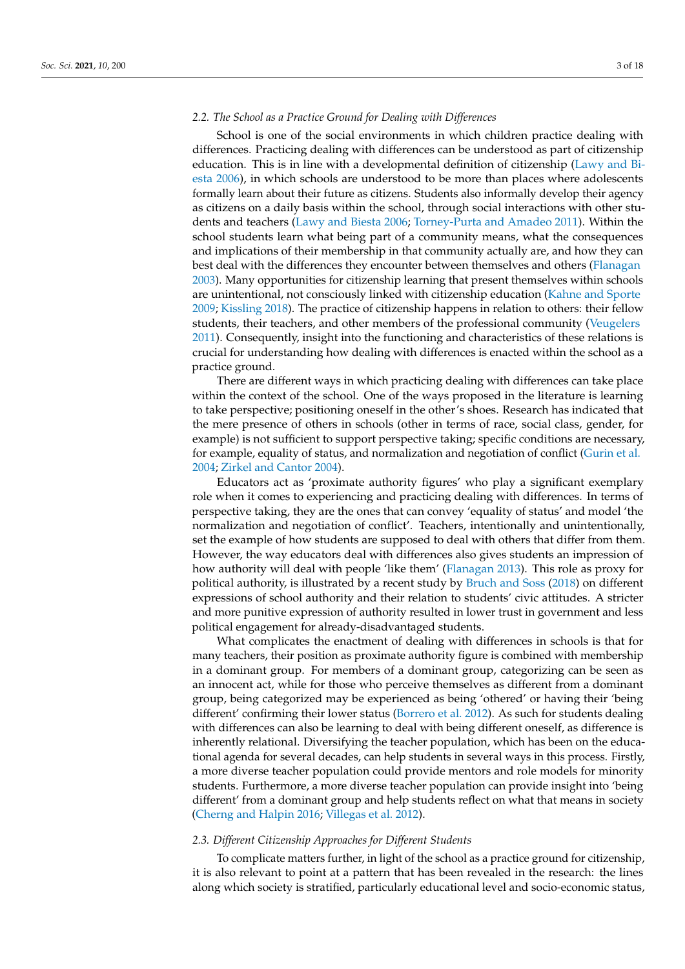## *2.2. The School as a Practice Ground for Dealing with Differences*

School is one of the social environments in which children practice dealing with differences. Practicing dealing with differences can be understood as part of citizenship education. This is in line with a developmental definition of citizenship [\(Lawy and Bi](#page-17-7)[esta](#page-17-7) [2006\)](#page-17-7), in which schools are understood to be more than places where adolescents formally learn about their future as citizens. Students also informally develop their agency as citizens on a daily basis within the school, through social interactions with other students and teachers [\(Lawy and Biesta](#page-17-7) [2006;](#page-17-7) [Torney-Purta and Amadeo](#page-17-13) [2011\)](#page-17-13). Within the school students learn what being part of a community means, what the consequences and implications of their membership in that community actually are, and how they can best deal with the differences they encounter between themselves and others [\(Flanagan](#page-16-7) [2003\)](#page-16-7). Many opportunities for citizenship learning that present themselves within schools are unintentional, not consciously linked with citizenship education [\(Kahne and Sporte](#page-16-8) [2009;](#page-16-8) [Kissling](#page-17-14) [2018\)](#page-17-14). The practice of citizenship happens in relation to others: their fellow students, their teachers, and other members of the professional community [\(Veugelers](#page-17-8) [2011\)](#page-17-8). Consequently, insight into the functioning and characteristics of these relations is crucial for understanding how dealing with differences is enacted within the school as a practice ground.

There are different ways in which practicing dealing with differences can take place within the context of the school. One of the ways proposed in the literature is learning to take perspective; positioning oneself in the other's shoes. Research has indicated that the mere presence of others in schools (other in terms of race, social class, gender, for example) is not sufficient to support perspective taking; specific conditions are necessary, for example, equality of status, and normalization and negotiation of conflict [\(Gurin et al.](#page-16-5) [2004;](#page-16-5) [Zirkel and Cantor](#page-18-0) [2004\)](#page-18-0).

Educators act as 'proximate authority figures' who play a significant exemplary role when it comes to experiencing and practicing dealing with differences. In terms of perspective taking, they are the ones that can convey 'equality of status' and model 'the normalization and negotiation of conflict'. Teachers, intentionally and unintentionally, set the example of how students are supposed to deal with others that differ from them. However, the way educators deal with differences also gives students an impression of how authority will deal with people 'like them' [\(Flanagan](#page-16-4) [2013\)](#page-16-4). This role as proxy for political authority, is illustrated by a recent study by [Bruch and Soss](#page-16-9) [\(2018\)](#page-16-9) on different expressions of school authority and their relation to students' civic attitudes. A stricter and more punitive expression of authority resulted in lower trust in government and less political engagement for already-disadvantaged students.

What complicates the enactment of dealing with differences in schools is that for many teachers, their position as proximate authority figure is combined with membership in a dominant group. For members of a dominant group, categorizing can be seen as an innocent act, while for those who perceive themselves as different from a dominant group, being categorized may be experienced as being 'othered' or having their 'being different' confirming their lower status [\(Borrero et al.](#page-16-10) [2012\)](#page-16-10). As such for students dealing with differences can also be learning to deal with being different oneself, as difference is inherently relational. Diversifying the teacher population, which has been on the educational agenda for several decades, can help students in several ways in this process. Firstly, a more diverse teacher population could provide mentors and role models for minority students. Furthermore, a more diverse teacher population can provide insight into 'being different' from a dominant group and help students reflect on what that means in society [\(Cherng and Halpin](#page-16-11) [2016;](#page-16-11) [Villegas et al.](#page-17-15) [2012\)](#page-17-15).

## *2.3. Different Citizenship Approaches for Different Students*

To complicate matters further, in light of the school as a practice ground for citizenship, it is also relevant to point at a pattern that has been revealed in the research: the lines along which society is stratified, particularly educational level and socio-economic status,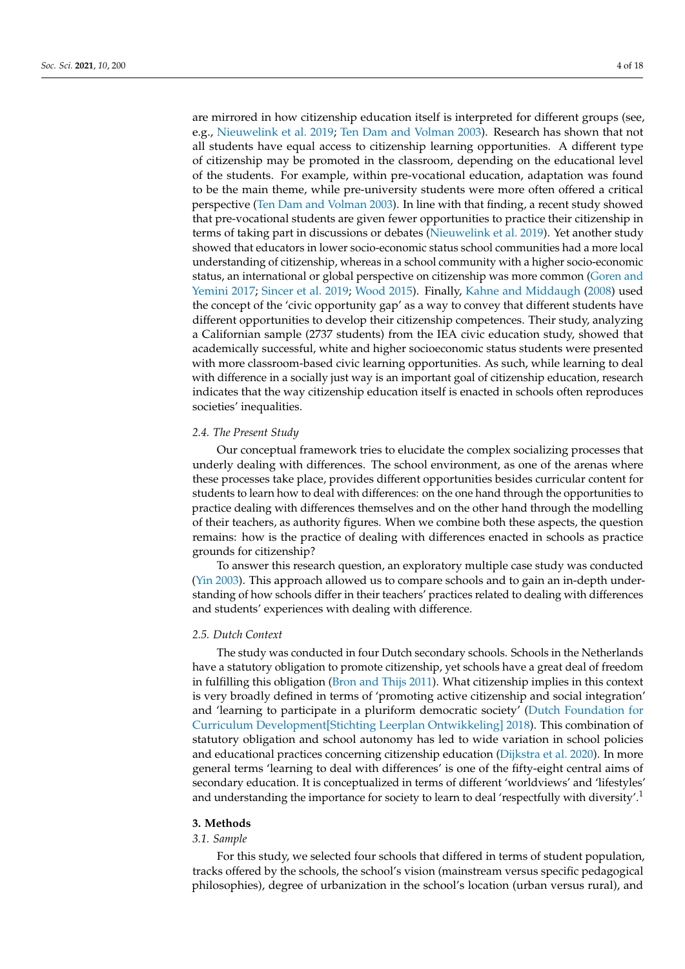are mirrored in how citizenship education itself is interpreted for different groups (see, e.g., [Nieuwelink et al.](#page-17-16) [2019;](#page-17-16) [Ten Dam and Volman](#page-17-17) [2003\)](#page-17-17). Research has shown that not all students have equal access to citizenship learning opportunities. A different type of citizenship may be promoted in the classroom, depending on the educational level of the students. For example, within pre-vocational education, adaptation was found to be the main theme, while pre-university students were more often offered a critical perspective [\(Ten Dam and Volman](#page-17-17) [2003\)](#page-17-17). In line with that finding, a recent study showed that pre-vocational students are given fewer opportunities to practice their citizenship in terms of taking part in discussions or debates [\(Nieuwelink et al.](#page-17-16) [2019\)](#page-17-16). Yet another study showed that educators in lower socio-economic status school communities had a more local understanding of citizenship, whereas in a school community with a higher socio-economic status, an international or global perspective on citizenship was more common [\(Goren and](#page-16-12) [Yemini](#page-16-12) [2017;](#page-16-12) [Sincer et al.](#page-17-18) [2019;](#page-17-18) [Wood](#page-17-19) [2015\)](#page-17-19). Finally, [Kahne and Middaugh](#page-16-13) [\(2008\)](#page-16-13) used the concept of the 'civic opportunity gap' as a way to convey that different students have different opportunities to develop their citizenship competences. Their study, analyzing a Californian sample (2737 students) from the IEA civic education study, showed that academically successful, white and higher socioeconomic status students were presented with more classroom-based civic learning opportunities. As such, while learning to deal with difference in a socially just way is an important goal of citizenship education, research indicates that the way citizenship education itself is enacted in schools often reproduces societies' inequalities.

#### *2.4. The Present Study*

Our conceptual framework tries to elucidate the complex socializing processes that underly dealing with differences. The school environment, as one of the arenas where these processes take place, provides different opportunities besides curricular content for students to learn how to deal with differences: on the one hand through the opportunities to practice dealing with differences themselves and on the other hand through the modelling of their teachers, as authority figures. When we combine both these aspects, the question remains: how is the practice of dealing with differences enacted in schools as practice grounds for citizenship?

To answer this research question, an exploratory multiple case study was conducted [\(Yin](#page-18-1) [2003\)](#page-18-1). This approach allowed us to compare schools and to gain an in-depth understanding of how schools differ in their teachers' practices related to dealing with differences and students' experiences with dealing with difference.

#### *2.5. Dutch Context*

The study was conducted in four Dutch secondary schools. Schools in the Netherlands have a statutory obligation to promote citizenship, yet schools have a great deal of freedom in fulfilling this obligation [\(Bron and Thijs](#page-16-14) [2011\)](#page-16-14). What citizenship implies in this context is very broadly defined in terms of 'promoting active citizenship and social integration' and 'learning to participate in a pluriform democratic society' [\(Dutch Foundation for](#page-16-15) [Curriculum Development\[Stichting Leerplan Ontwikkeling\]](#page-16-15) [2018\)](#page-16-15). This combination of statutory obligation and school autonomy has led to wide variation in school policies and educational practices concerning citizenship education [\(Dijkstra et al.](#page-16-16) [2020\)](#page-16-16). In more general terms 'learning to deal with differences' is one of the fifty-eight central aims of secondary education. It is conceptualized in terms of different 'worldviews' and 'lifestyles' and understanding the importance for society to learn to deal 'respectfully with diversity'.<sup>1</sup>

#### **3. Methods**

#### *3.1. Sample*

For this study, we selected four schools that differed in terms of student population, tracks offered by the schools, the school's vision (mainstream versus specific pedagogical philosophies), degree of urbanization in the school's location (urban versus rural), and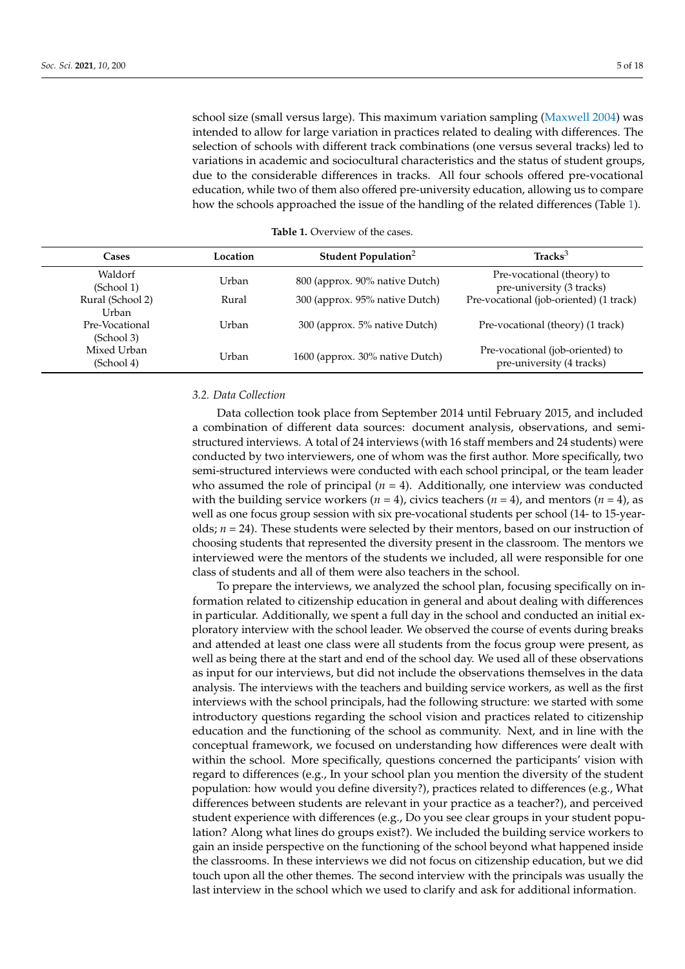school size (small versus large). This maximum variation sampling [\(Maxwell](#page-17-20) [2004\)](#page-17-20) was intended to allow for large variation in practices related to dealing with differences. The selection of schools with different track combinations (one versus several tracks) led to variations in academic and sociocultural characteristics and the status of student groups, due to the considerable differences in tracks. All four schools offered pre-vocational education, while two of them also offered pre-university education, allowing us to compare how the schools approached the issue of the handling of the related differences (Table [1\)](#page-5-0).

<span id="page-5-0"></span>

| Cases                              | Location | Student Population <sup>2</sup> | $\text{Tracks}^3$                                             |
|------------------------------------|----------|---------------------------------|---------------------------------------------------------------|
| Waldorf<br>(School 1)              | Urban    | 800 (approx. 90% native Dutch)  | Pre-vocational (theory) to<br>pre-university (3 tracks)       |
| Rural (School 2)<br>Urban          | Rural    | 300 (approx. 95% native Dutch)  | Pre-vocational (job-oriented) (1 track)                       |
| Pre-Vocational<br>(School 3)       | Urban    | 300 (approx. 5% native Dutch)   | Pre-vocational (theory) (1 track)                             |
| Mixed Urban<br>Urban<br>(School 4) |          | 1600 (approx. 30% native Dutch) | Pre-vocational (job-oriented) to<br>pre-university (4 tracks) |
|                                    |          |                                 |                                                               |

| <b>Table 1.</b> Overview of the cases. |  |  |  |  |
|----------------------------------------|--|--|--|--|
|----------------------------------------|--|--|--|--|

### *3.2. Data Collection*

Data collection took place from September 2014 until February 2015, and included a combination of different data sources: document analysis, observations, and semistructured interviews. A total of 24 interviews (with 16 staff members and 24 students) were conducted by two interviewers, one of whom was the first author. More specifically, two semi-structured interviews were conducted with each school principal, or the team leader who assumed the role of principal  $(n = 4)$ . Additionally, one interview was conducted with the building service workers ( $n = 4$ ), civics teachers ( $n = 4$ ), and mentors ( $n = 4$ ), as well as one focus group session with six pre-vocational students per school (14- to 15-yearolds; *n* = 24). These students were selected by their mentors, based on our instruction of choosing students that represented the diversity present in the classroom. The mentors we interviewed were the mentors of the students we included, all were responsible for one class of students and all of them were also teachers in the school.

To prepare the interviews, we analyzed the school plan, focusing specifically on information related to citizenship education in general and about dealing with differences in particular. Additionally, we spent a full day in the school and conducted an initial exploratory interview with the school leader. We observed the course of events during breaks and attended at least one class were all students from the focus group were present, as well as being there at the start and end of the school day. We used all of these observations as input for our interviews, but did not include the observations themselves in the data analysis. The interviews with the teachers and building service workers, as well as the first interviews with the school principals, had the following structure: we started with some introductory questions regarding the school vision and practices related to citizenship education and the functioning of the school as community. Next, and in line with the conceptual framework, we focused on understanding how differences were dealt with within the school. More specifically, questions concerned the participants' vision with regard to differences (e.g., In your school plan you mention the diversity of the student population: how would you define diversity?), practices related to differences (e.g., What differences between students are relevant in your practice as a teacher?), and perceived student experience with differences (e.g., Do you see clear groups in your student population? Along what lines do groups exist?). We included the building service workers to gain an inside perspective on the functioning of the school beyond what happened inside the classrooms. In these interviews we did not focus on citizenship education, but we did touch upon all the other themes. The second interview with the principals was usually the last interview in the school which we used to clarify and ask for additional information.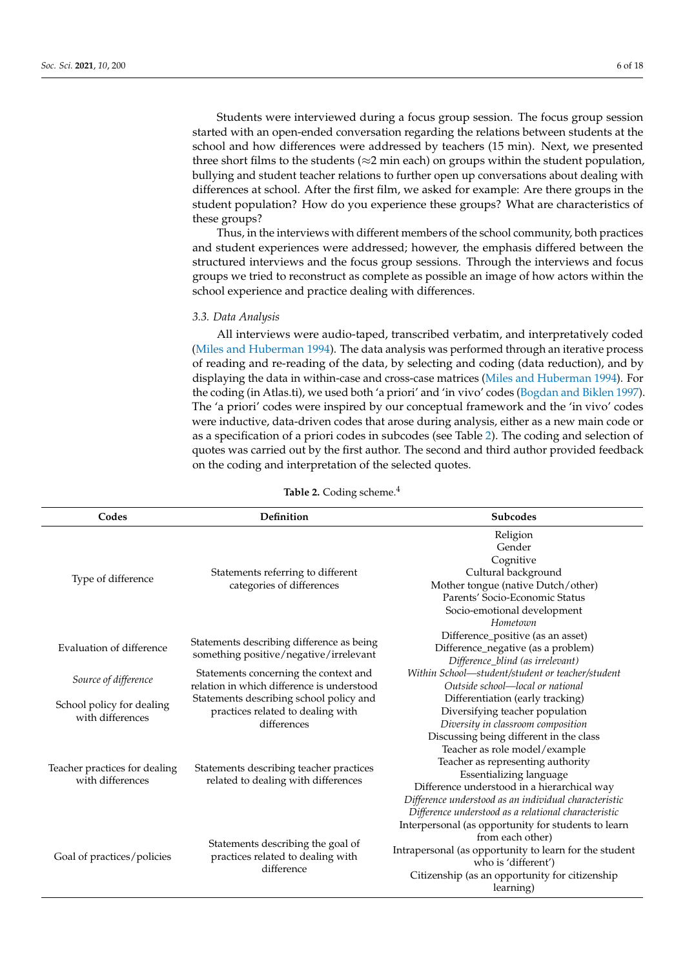Students were interviewed during a focus group session. The focus group session started with an open-ended conversation regarding the relations between students at the school and how differences were addressed by teachers (15 min). Next, we presented three short films to the students ( $\approx$ 2 min each) on groups within the student population, bullying and student teacher relations to further open up conversations about dealing with differences at school. After the first film, we asked for example: Are there groups in the student population? How do you experience these groups? What are characteristics of these groups?

Thus, in the interviews with different members of the school community, both practices and student experiences were addressed; however, the emphasis differed between the structured interviews and the focus group sessions. Through the interviews and focus groups we tried to reconstruct as complete as possible an image of how actors within the school experience and practice dealing with differences.

#### *3.3. Data Analysis*

All interviews were audio-taped, transcribed verbatim, and interpretatively coded [\(Miles and Huberman](#page-17-21) [1994\)](#page-17-21). The data analysis was performed through an iterative process of reading and re-reading of the data, by selecting and coding (data reduction), and by displaying the data in within-case and cross-case matrices [\(Miles and Huberman](#page-17-21) [1994\)](#page-17-21). For the coding (in Atlas.ti), we used both 'a priori' and 'in vivo' codes [\(Bogdan and Biklen](#page-16-17) [1997\)](#page-16-17). The 'a priori' codes were inspired by our conceptual framework and the 'in vivo' codes were inductive, data-driven codes that arose during analysis, either as a new main code or as a specification of a priori codes in subcodes (see Table [2\)](#page-6-0). The coding and selection of quotes was carried out by the first author. The second and third author provided feedback on the coding and interpretation of the selected quotes.

<span id="page-6-0"></span>

| Codes                                             | Definition                                                                     | Subcodes                                               |  |
|---------------------------------------------------|--------------------------------------------------------------------------------|--------------------------------------------------------|--|
| Type of difference                                |                                                                                | Religion                                               |  |
|                                                   |                                                                                | Gender                                                 |  |
|                                                   |                                                                                | Cognitive                                              |  |
|                                                   | Statements referring to different<br>categories of differences                 | Cultural background                                    |  |
|                                                   |                                                                                | Mother tongue (native Dutch/other)                     |  |
|                                                   |                                                                                | Parents' Socio-Economic Status                         |  |
|                                                   |                                                                                | Socio-emotional development                            |  |
|                                                   |                                                                                | Hometown                                               |  |
| Evaluation of difference                          | Statements describing difference as being                                      | Difference_positive (as an asset)                      |  |
|                                                   | something positive/negative/irrelevant                                         | Difference_negative (as a problem)                     |  |
|                                                   |                                                                                | Difference_blind (as irrelevant)                       |  |
| Source of difference                              | Statements concerning the context and                                          | Within School-student/student or teacher/student       |  |
|                                                   | relation in which difference is understood                                     | Outside school—local or national                       |  |
| School policy for dealing<br>with differences     | Statements describing school policy and                                        | Differentiation (early tracking)                       |  |
|                                                   | practices related to dealing with                                              | Diversifying teacher population                        |  |
|                                                   | differences                                                                    | Diversity in classroom composition                     |  |
| Teacher practices for dealing<br>with differences | Statements describing teacher practices<br>related to dealing with differences | Discussing being different in the class                |  |
|                                                   |                                                                                | Teacher as role model/example                          |  |
|                                                   |                                                                                | Teacher as representing authority                      |  |
|                                                   |                                                                                | Essentializing language                                |  |
|                                                   |                                                                                | Difference understood in a hierarchical way            |  |
|                                                   |                                                                                | Difference understood as an individual characteristic  |  |
|                                                   |                                                                                | Difference understood as a relational characteristic   |  |
| Goal of practices/policies                        |                                                                                | Interpersonal (as opportunity for students to learn    |  |
|                                                   | Statements describing the goal of                                              | from each other)                                       |  |
|                                                   | practices related to dealing with                                              | Intrapersonal (as opportunity to learn for the student |  |
|                                                   | difference                                                                     | who is 'different')                                    |  |
|                                                   |                                                                                | Citizenship (as an opportunity for citizenship         |  |
|                                                   |                                                                                | learning)                                              |  |

**Table 2.** Coding scheme.<sup>4</sup>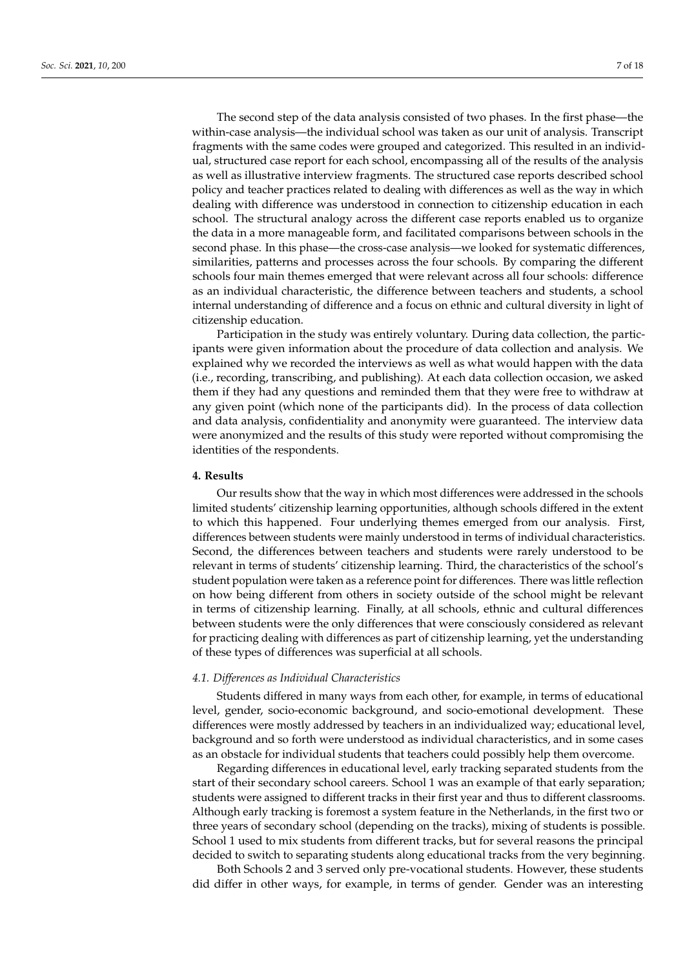The second step of the data analysis consisted of two phases. In the first phase—the within-case analysis—the individual school was taken as our unit of analysis. Transcript fragments with the same codes were grouped and categorized. This resulted in an individual, structured case report for each school, encompassing all of the results of the analysis as well as illustrative interview fragments. The structured case reports described school policy and teacher practices related to dealing with differences as well as the way in which dealing with difference was understood in connection to citizenship education in each school. The structural analogy across the different case reports enabled us to organize the data in a more manageable form, and facilitated comparisons between schools in the second phase. In this phase—the cross-case analysis—we looked for systematic differences, similarities, patterns and processes across the four schools. By comparing the different schools four main themes emerged that were relevant across all four schools: difference as an individual characteristic, the difference between teachers and students, a school internal understanding of difference and a focus on ethnic and cultural diversity in light of citizenship education.

Participation in the study was entirely voluntary. During data collection, the participants were given information about the procedure of data collection and analysis. We explained why we recorded the interviews as well as what would happen with the data (i.e., recording, transcribing, and publishing). At each data collection occasion, we asked them if they had any questions and reminded them that they were free to withdraw at any given point (which none of the participants did). In the process of data collection and data analysis, confidentiality and anonymity were guaranteed. The interview data were anonymized and the results of this study were reported without compromising the identities of the respondents.

## **4. Results**

Our results show that the way in which most differences were addressed in the schools limited students' citizenship learning opportunities, although schools differed in the extent to which this happened. Four underlying themes emerged from our analysis. First, differences between students were mainly understood in terms of individual characteristics. Second, the differences between teachers and students were rarely understood to be relevant in terms of students' citizenship learning. Third, the characteristics of the school's student population were taken as a reference point for differences. There was little reflection on how being different from others in society outside of the school might be relevant in terms of citizenship learning. Finally, at all schools, ethnic and cultural differences between students were the only differences that were consciously considered as relevant for practicing dealing with differences as part of citizenship learning, yet the understanding of these types of differences was superficial at all schools.

#### *4.1. Differences as Individual Characteristics*

Students differed in many ways from each other, for example, in terms of educational level, gender, socio-economic background, and socio-emotional development. These differences were mostly addressed by teachers in an individualized way; educational level, background and so forth were understood as individual characteristics, and in some cases as an obstacle for individual students that teachers could possibly help them overcome.

Regarding differences in educational level, early tracking separated students from the start of their secondary school careers. School 1 was an example of that early separation; students were assigned to different tracks in their first year and thus to different classrooms. Although early tracking is foremost a system feature in the Netherlands, in the first two or three years of secondary school (depending on the tracks), mixing of students is possible. School 1 used to mix students from different tracks, but for several reasons the principal decided to switch to separating students along educational tracks from the very beginning.

Both Schools 2 and 3 served only pre-vocational students. However, these students did differ in other ways, for example, in terms of gender. Gender was an interesting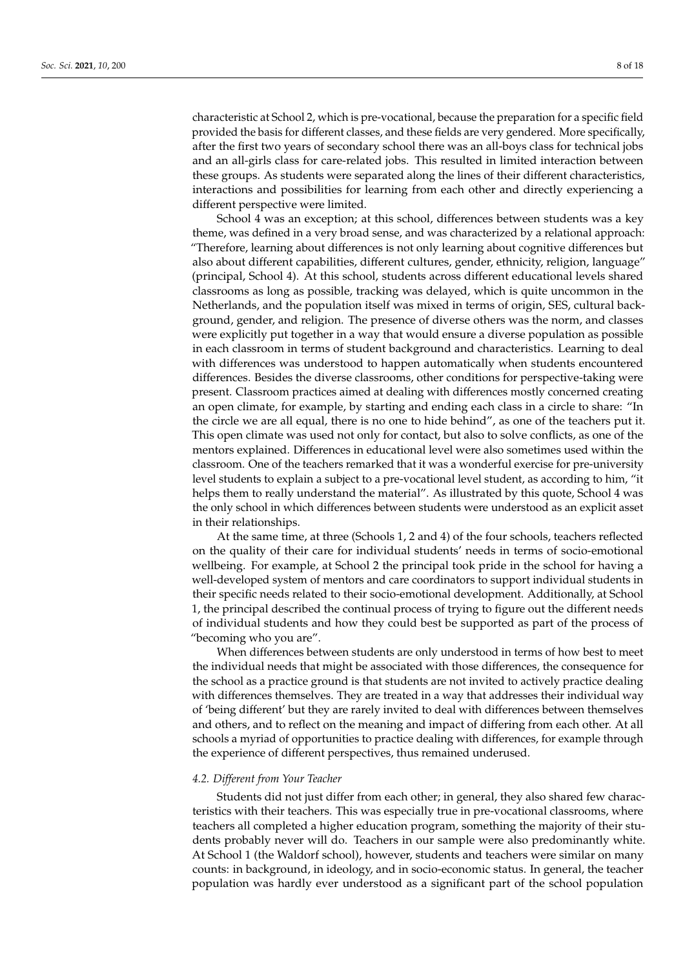characteristic at School 2, which is pre-vocational, because the preparation for a specific field provided the basis for different classes, and these fields are very gendered. More specifically, after the first two years of secondary school there was an all-boys class for technical jobs and an all-girls class for care-related jobs. This resulted in limited interaction between these groups. As students were separated along the lines of their different characteristics, interactions and possibilities for learning from each other and directly experiencing a different perspective were limited.

School 4 was an exception; at this school, differences between students was a key theme, was defined in a very broad sense, and was characterized by a relational approach: "Therefore, learning about differences is not only learning about cognitive differences but also about different capabilities, different cultures, gender, ethnicity, religion, language" (principal, School 4). At this school, students across different educational levels shared classrooms as long as possible, tracking was delayed, which is quite uncommon in the Netherlands, and the population itself was mixed in terms of origin, SES, cultural background, gender, and religion. The presence of diverse others was the norm, and classes were explicitly put together in a way that would ensure a diverse population as possible in each classroom in terms of student background and characteristics. Learning to deal with differences was understood to happen automatically when students encountered differences. Besides the diverse classrooms, other conditions for perspective-taking were present. Classroom practices aimed at dealing with differences mostly concerned creating an open climate, for example, by starting and ending each class in a circle to share: "In the circle we are all equal, there is no one to hide behind", as one of the teachers put it. This open climate was used not only for contact, but also to solve conflicts, as one of the mentors explained. Differences in educational level were also sometimes used within the classroom. One of the teachers remarked that it was a wonderful exercise for pre-university level students to explain a subject to a pre-vocational level student, as according to him, "it helps them to really understand the material". As illustrated by this quote, School 4 was the only school in which differences between students were understood as an explicit asset in their relationships.

At the same time, at three (Schools 1, 2 and 4) of the four schools, teachers reflected on the quality of their care for individual students' needs in terms of socio-emotional wellbeing. For example, at School 2 the principal took pride in the school for having a well-developed system of mentors and care coordinators to support individual students in their specific needs related to their socio-emotional development. Additionally, at School 1, the principal described the continual process of trying to figure out the different needs of individual students and how they could best be supported as part of the process of "becoming who you are".

When differences between students are only understood in terms of how best to meet the individual needs that might be associated with those differences, the consequence for the school as a practice ground is that students are not invited to actively practice dealing with differences themselves. They are treated in a way that addresses their individual way of 'being different' but they are rarely invited to deal with differences between themselves and others, and to reflect on the meaning and impact of differing from each other. At all schools a myriad of opportunities to practice dealing with differences, for example through the experience of different perspectives, thus remained underused.

#### *4.2. Different from Your Teacher*

Students did not just differ from each other; in general, they also shared few characteristics with their teachers. This was especially true in pre-vocational classrooms, where teachers all completed a higher education program, something the majority of their students probably never will do. Teachers in our sample were also predominantly white. At School 1 (the Waldorf school), however, students and teachers were similar on many counts: in background, in ideology, and in socio-economic status. In general, the teacher population was hardly ever understood as a significant part of the school population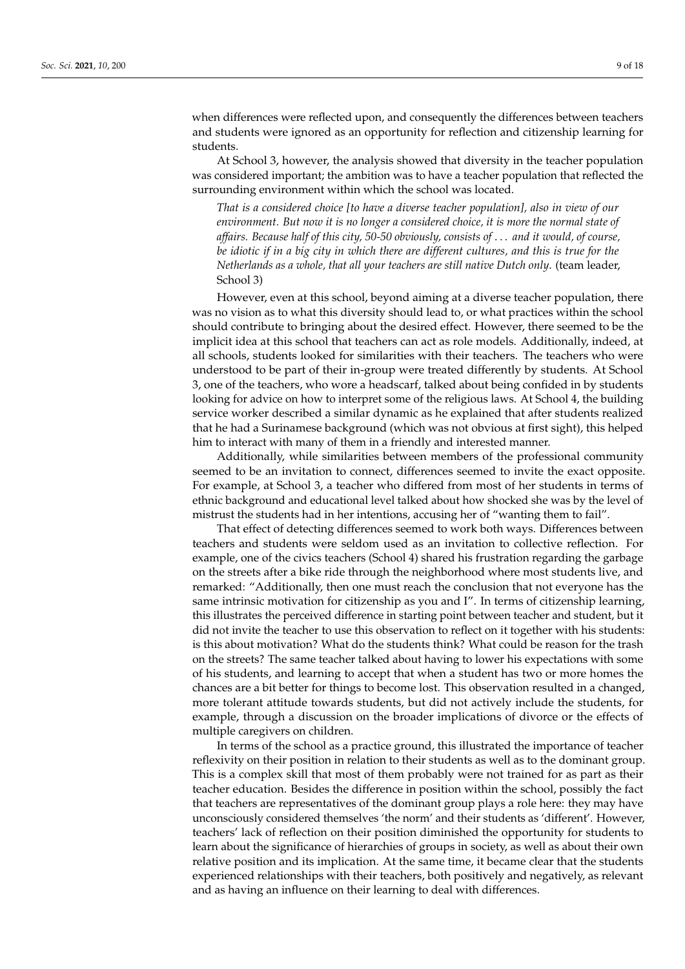when differences were reflected upon, and consequently the differences between teachers and students were ignored as an opportunity for reflection and citizenship learning for students.

At School 3, however, the analysis showed that diversity in the teacher population was considered important; the ambition was to have a teacher population that reflected the surrounding environment within which the school was located.

*That is a considered choice [to have a diverse teacher population], also in view of our environment. But now it is no longer a considered choice, it is more the normal state of affairs. Because half of this city, 50-50 obviously, consists of* . . . *and it would, of course, be idiotic if in a big city in which there are different cultures, and this is true for the Netherlands as a whole, that all your teachers are still native Dutch only*. (team leader, School 3)

However, even at this school, beyond aiming at a diverse teacher population, there was no vision as to what this diversity should lead to, or what practices within the school should contribute to bringing about the desired effect. However, there seemed to be the implicit idea at this school that teachers can act as role models. Additionally, indeed, at all schools, students looked for similarities with their teachers. The teachers who were understood to be part of their in-group were treated differently by students. At School 3, one of the teachers, who wore a headscarf, talked about being confided in by students looking for advice on how to interpret some of the religious laws. At School 4, the building service worker described a similar dynamic as he explained that after students realized that he had a Surinamese background (which was not obvious at first sight), this helped him to interact with many of them in a friendly and interested manner.

Additionally, while similarities between members of the professional community seemed to be an invitation to connect, differences seemed to invite the exact opposite. For example, at School 3, a teacher who differed from most of her students in terms of ethnic background and educational level talked about how shocked she was by the level of mistrust the students had in her intentions, accusing her of "wanting them to fail".

That effect of detecting differences seemed to work both ways. Differences between teachers and students were seldom used as an invitation to collective reflection. For example, one of the civics teachers (School 4) shared his frustration regarding the garbage on the streets after a bike ride through the neighborhood where most students live, and remarked: "Additionally, then one must reach the conclusion that not everyone has the same intrinsic motivation for citizenship as you and I". In terms of citizenship learning, this illustrates the perceived difference in starting point between teacher and student, but it did not invite the teacher to use this observation to reflect on it together with his students: is this about motivation? What do the students think? What could be reason for the trash on the streets? The same teacher talked about having to lower his expectations with some of his students, and learning to accept that when a student has two or more homes the chances are a bit better for things to become lost. This observation resulted in a changed, more tolerant attitude towards students, but did not actively include the students, for example, through a discussion on the broader implications of divorce or the effects of multiple caregivers on children.

In terms of the school as a practice ground, this illustrated the importance of teacher reflexivity on their position in relation to their students as well as to the dominant group. This is a complex skill that most of them probably were not trained for as part as their teacher education. Besides the difference in position within the school, possibly the fact that teachers are representatives of the dominant group plays a role here: they may have unconsciously considered themselves 'the norm' and their students as 'different'. However, teachers' lack of reflection on their position diminished the opportunity for students to learn about the significance of hierarchies of groups in society, as well as about their own relative position and its implication. At the same time, it became clear that the students experienced relationships with their teachers, both positively and negatively, as relevant and as having an influence on their learning to deal with differences.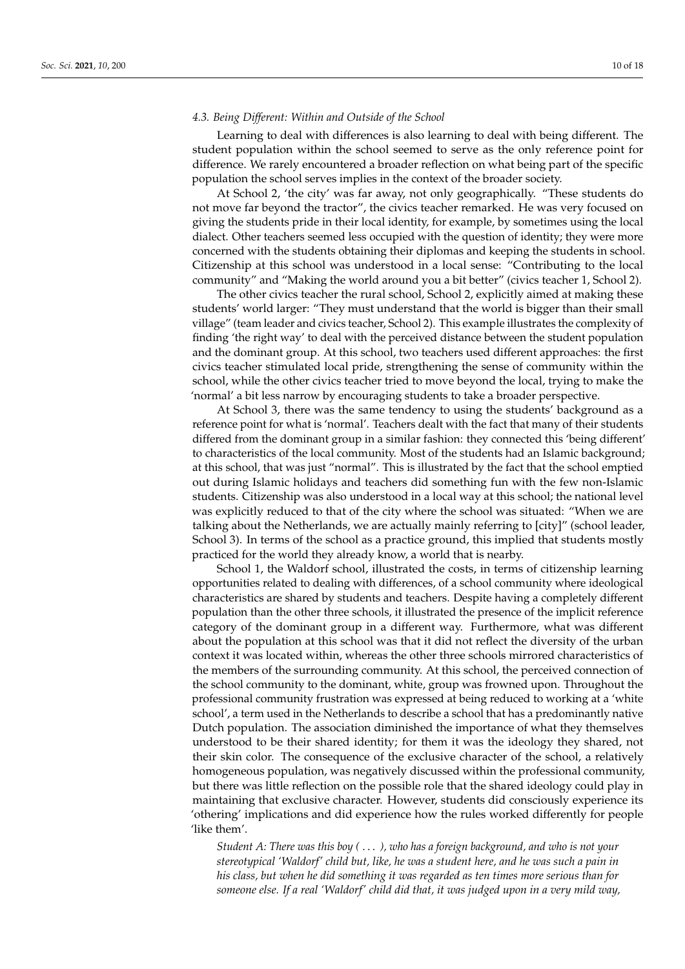#### *4.3. Being Different: Within and Outside of the School*

Learning to deal with differences is also learning to deal with being different. The student population within the school seemed to serve as the only reference point for difference. We rarely encountered a broader reflection on what being part of the specific population the school serves implies in the context of the broader society.

At School 2, 'the city' was far away, not only geographically. "These students do not move far beyond the tractor", the civics teacher remarked. He was very focused on giving the students pride in their local identity, for example, by sometimes using the local dialect. Other teachers seemed less occupied with the question of identity; they were more concerned with the students obtaining their diplomas and keeping the students in school. Citizenship at this school was understood in a local sense: "Contributing to the local community" and "Making the world around you a bit better" (civics teacher 1, School 2).

The other civics teacher the rural school, School 2, explicitly aimed at making these students' world larger: "They must understand that the world is bigger than their small village" (team leader and civics teacher, School 2). This example illustrates the complexity of finding 'the right way' to deal with the perceived distance between the student population and the dominant group. At this school, two teachers used different approaches: the first civics teacher stimulated local pride, strengthening the sense of community within the school, while the other civics teacher tried to move beyond the local, trying to make the 'normal' a bit less narrow by encouraging students to take a broader perspective.

At School 3, there was the same tendency to using the students' background as a reference point for what is 'normal'. Teachers dealt with the fact that many of their students differed from the dominant group in a similar fashion: they connected this 'being different' to characteristics of the local community. Most of the students had an Islamic background; at this school, that was just "normal". This is illustrated by the fact that the school emptied out during Islamic holidays and teachers did something fun with the few non-Islamic students. Citizenship was also understood in a local way at this school; the national level was explicitly reduced to that of the city where the school was situated: "When we are talking about the Netherlands, we are actually mainly referring to [city]" (school leader, School 3). In terms of the school as a practice ground, this implied that students mostly practiced for the world they already know, a world that is nearby.

School 1, the Waldorf school, illustrated the costs, in terms of citizenship learning opportunities related to dealing with differences, of a school community where ideological characteristics are shared by students and teachers. Despite having a completely different population than the other three schools, it illustrated the presence of the implicit reference category of the dominant group in a different way. Furthermore, what was different about the population at this school was that it did not reflect the diversity of the urban context it was located within, whereas the other three schools mirrored characteristics of the members of the surrounding community. At this school, the perceived connection of the school community to the dominant, white, group was frowned upon. Throughout the professional community frustration was expressed at being reduced to working at a 'white school', a term used in the Netherlands to describe a school that has a predominantly native Dutch population. The association diminished the importance of what they themselves understood to be their shared identity; for them it was the ideology they shared, not their skin color. The consequence of the exclusive character of the school, a relatively homogeneous population, was negatively discussed within the professional community, but there was little reflection on the possible role that the shared ideology could play in maintaining that exclusive character. However, students did consciously experience its 'othering' implications and did experience how the rules worked differently for people 'like them'.

*Student A: There was this boy (* . . . *), who has a foreign background, and who is not your stereotypical 'Waldorf' child but, like, he was a student here, and he was such a pain in his class, but when he did something it was regarded as ten times more serious than for someone else. If a real 'Waldorf' child did that, it was judged upon in a very mild way,*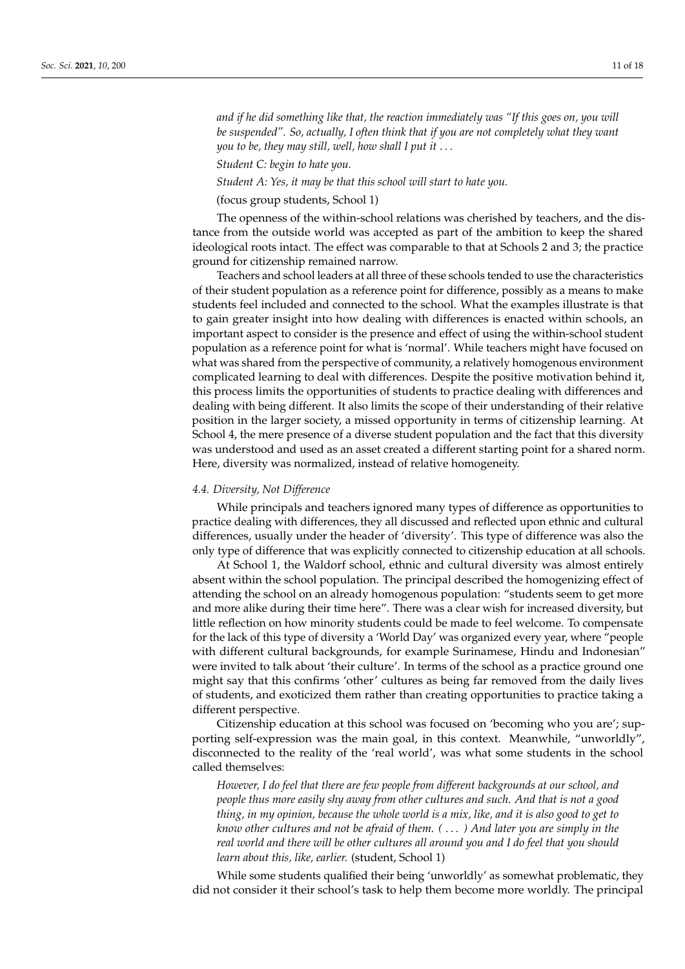*and if he did something like that, the reaction immediately was "If this goes on, you will be suspended". So, actually, I often think that if you are not completely what they want you to be, they may still, well, how shall I put it* . . .

*Student C: begin to hate you.*

*Student A: Yes, it may be that this school will start to hate you.*

(focus group students, School 1)

The openness of the within-school relations was cherished by teachers, and the distance from the outside world was accepted as part of the ambition to keep the shared ideological roots intact. The effect was comparable to that at Schools 2 and 3; the practice ground for citizenship remained narrow.

Teachers and school leaders at all three of these schools tended to use the characteristics of their student population as a reference point for difference, possibly as a means to make students feel included and connected to the school. What the examples illustrate is that to gain greater insight into how dealing with differences is enacted within schools, an important aspect to consider is the presence and effect of using the within-school student population as a reference point for what is 'normal'. While teachers might have focused on what was shared from the perspective of community, a relatively homogenous environment complicated learning to deal with differences. Despite the positive motivation behind it, this process limits the opportunities of students to practice dealing with differences and dealing with being different. It also limits the scope of their understanding of their relative position in the larger society, a missed opportunity in terms of citizenship learning. At School 4, the mere presence of a diverse student population and the fact that this diversity was understood and used as an asset created a different starting point for a shared norm. Here, diversity was normalized, instead of relative homogeneity.

#### *4.4. Diversity, Not Difference*

While principals and teachers ignored many types of difference as opportunities to practice dealing with differences, they all discussed and reflected upon ethnic and cultural differences, usually under the header of 'diversity'. This type of difference was also the only type of difference that was explicitly connected to citizenship education at all schools.

At School 1, the Waldorf school, ethnic and cultural diversity was almost entirely absent within the school population. The principal described the homogenizing effect of attending the school on an already homogenous population: "students seem to get more and more alike during their time here". There was a clear wish for increased diversity, but little reflection on how minority students could be made to feel welcome. To compensate for the lack of this type of diversity a 'World Day' was organized every year, where "people with different cultural backgrounds, for example Surinamese, Hindu and Indonesian" were invited to talk about 'their culture'. In terms of the school as a practice ground one might say that this confirms 'other' cultures as being far removed from the daily lives of students, and exoticized them rather than creating opportunities to practice taking a different perspective.

Citizenship education at this school was focused on 'becoming who you are'; supporting self-expression was the main goal, in this context. Meanwhile, "unworldly", disconnected to the reality of the 'real world', was what some students in the school called themselves:

*However, I do feel that there are few people from different backgrounds at our school, and people thus more easily shy away from other cultures and such. And that is not a good thing, in my opinion, because the whole world is a mix, like, and it is also good to get to know other cultures and not be afraid of them. (* . . . *) And later you are simply in the real world and there will be other cultures all around you and I do feel that you should learn about this, like, earlier.* (student, School 1)

While some students qualified their being 'unworldly' as somewhat problematic, they did not consider it their school's task to help them become more worldly. The principal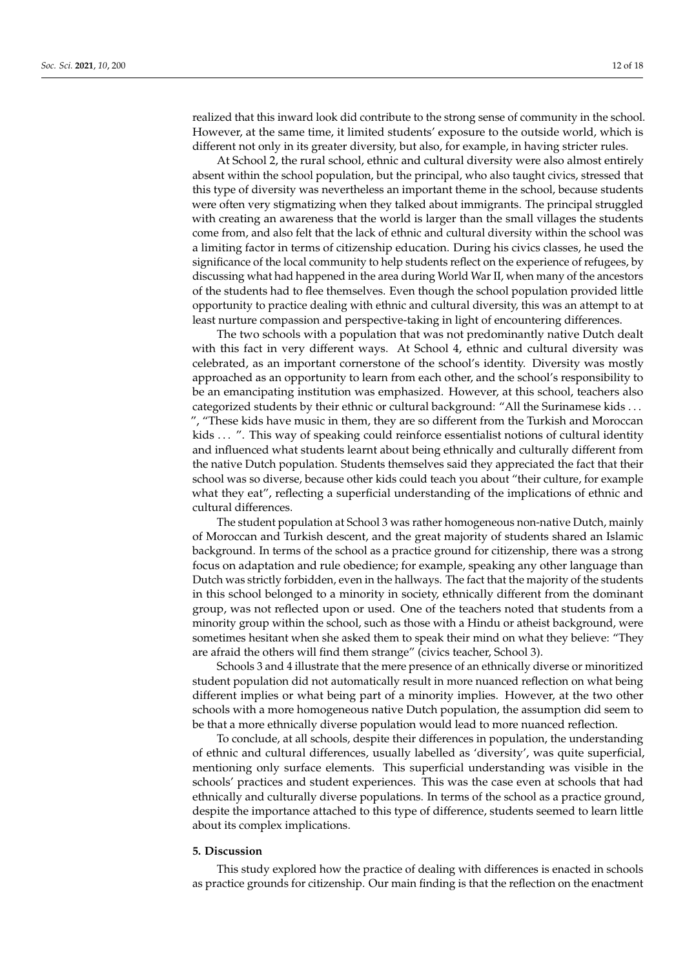realized that this inward look did contribute to the strong sense of community in the school. However, at the same time, it limited students' exposure to the outside world, which is different not only in its greater diversity, but also, for example, in having stricter rules.

At School 2, the rural school, ethnic and cultural diversity were also almost entirely absent within the school population, but the principal, who also taught civics, stressed that this type of diversity was nevertheless an important theme in the school, because students were often very stigmatizing when they talked about immigrants. The principal struggled with creating an awareness that the world is larger than the small villages the students come from, and also felt that the lack of ethnic and cultural diversity within the school was a limiting factor in terms of citizenship education. During his civics classes, he used the significance of the local community to help students reflect on the experience of refugees, by discussing what had happened in the area during World War II, when many of the ancestors of the students had to flee themselves. Even though the school population provided little opportunity to practice dealing with ethnic and cultural diversity, this was an attempt to at least nurture compassion and perspective-taking in light of encountering differences.

The two schools with a population that was not predominantly native Dutch dealt with this fact in very different ways. At School 4, ethnic and cultural diversity was celebrated, as an important cornerstone of the school's identity. Diversity was mostly approached as an opportunity to learn from each other, and the school's responsibility to be an emancipating institution was emphasized. However, at this school, teachers also categorized students by their ethnic or cultural background: "All the Surinamese kids . . . ", "These kids have music in them, they are so different from the Turkish and Moroccan kids . . . ". This way of speaking could reinforce essentialist notions of cultural identity and influenced what students learnt about being ethnically and culturally different from the native Dutch population. Students themselves said they appreciated the fact that their school was so diverse, because other kids could teach you about "their culture, for example what they eat", reflecting a superficial understanding of the implications of ethnic and cultural differences.

The student population at School 3 was rather homogeneous non-native Dutch, mainly of Moroccan and Turkish descent, and the great majority of students shared an Islamic background. In terms of the school as a practice ground for citizenship, there was a strong focus on adaptation and rule obedience; for example, speaking any other language than Dutch was strictly forbidden, even in the hallways. The fact that the majority of the students in this school belonged to a minority in society, ethnically different from the dominant group, was not reflected upon or used. One of the teachers noted that students from a minority group within the school, such as those with a Hindu or atheist background, were sometimes hesitant when she asked them to speak their mind on what they believe: "They are afraid the others will find them strange" (civics teacher, School 3).

Schools 3 and 4 illustrate that the mere presence of an ethnically diverse or minoritized student population did not automatically result in more nuanced reflection on what being different implies or what being part of a minority implies. However, at the two other schools with a more homogeneous native Dutch population, the assumption did seem to be that a more ethnically diverse population would lead to more nuanced reflection.

To conclude, at all schools, despite their differences in population, the understanding of ethnic and cultural differences, usually labelled as 'diversity', was quite superficial, mentioning only surface elements. This superficial understanding was visible in the schools' practices and student experiences. This was the case even at schools that had ethnically and culturally diverse populations. In terms of the school as a practice ground, despite the importance attached to this type of difference, students seemed to learn little about its complex implications.

#### **5. Discussion**

This study explored how the practice of dealing with differences is enacted in schools as practice grounds for citizenship. Our main finding is that the reflection on the enactment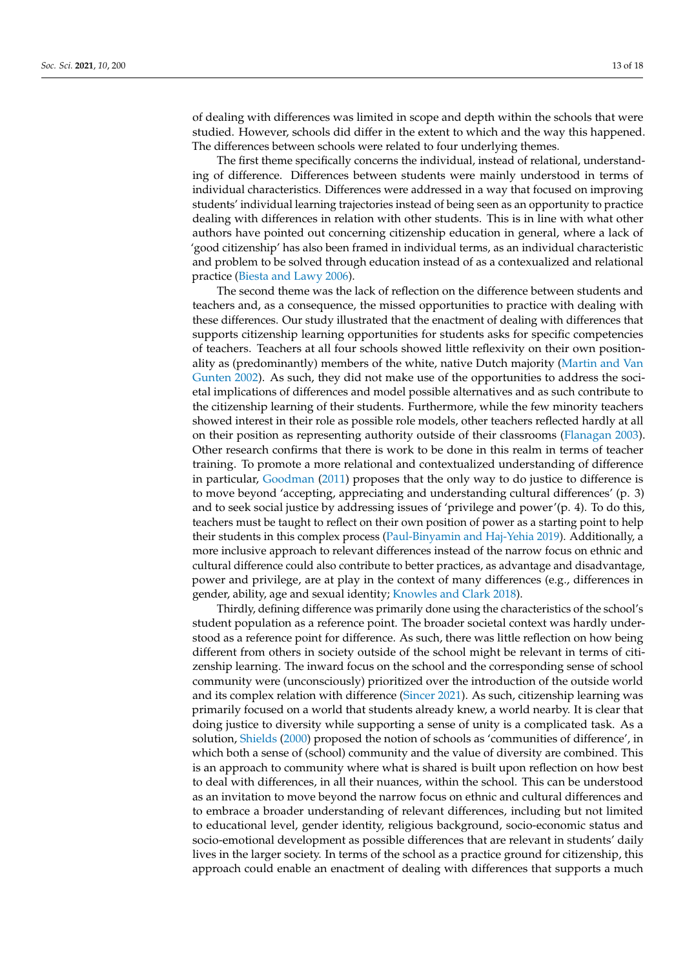of dealing with differences was limited in scope and depth within the schools that were studied. However, schools did differ in the extent to which and the way this happened. The differences between schools were related to four underlying themes.

The first theme specifically concerns the individual, instead of relational, understanding of difference. Differences between students were mainly understood in terms of individual characteristics. Differences were addressed in a way that focused on improving students' individual learning trajectories instead of being seen as an opportunity to practice dealing with differences in relation with other students. This is in line with what other authors have pointed out concerning citizenship education in general, where a lack of 'good citizenship' has also been framed in individual terms, as an individual characteristic and problem to be solved through education instead of as a contexualized and relational practice [\(Biesta and Lawy](#page-16-18) [2006\)](#page-16-18).

The second theme was the lack of reflection on the difference between students and teachers and, as a consequence, the missed opportunities to practice with dealing with these differences. Our study illustrated that the enactment of dealing with differences that supports citizenship learning opportunities for students asks for specific competencies of teachers. Teachers at all four schools showed little reflexivity on their own positionality as (predominantly) members of the white, native Dutch majority [\(Martin and Van](#page-17-22) [Gunten](#page-17-22) [2002\)](#page-17-22). As such, they did not make use of the opportunities to address the societal implications of differences and model possible alternatives and as such contribute to the citizenship learning of their students. Furthermore, while the few minority teachers showed interest in their role as possible role models, other teachers reflected hardly at all on their position as representing authority outside of their classrooms [\(Flanagan](#page-16-7) [2003\)](#page-16-7). Other research confirms that there is work to be done in this realm in terms of teacher training. To promote a more relational and contextualized understanding of difference in particular, [Goodman](#page-16-19) [\(2011\)](#page-16-19) proposes that the only way to do justice to difference is to move beyond 'accepting, appreciating and understanding cultural differences' (p. 3) and to seek social justice by addressing issues of 'privilege and power'(p. 4). To do this, teachers must be taught to reflect on their own position of power as a starting point to help their students in this complex process [\(Paul-Binyamin and Haj-Yehia](#page-17-23) [2019\)](#page-17-23). Additionally, a more inclusive approach to relevant differences instead of the narrow focus on ethnic and cultural difference could also contribute to better practices, as advantage and disadvantage, power and privilege, are at play in the context of many differences (e.g., differences in gender, ability, age and sexual identity; [Knowles and Clark](#page-17-24) [2018\)](#page-17-24).

Thirdly, defining difference was primarily done using the characteristics of the school's student population as a reference point. The broader societal context was hardly understood as a reference point for difference. As such, there was little reflection on how being different from others in society outside of the school might be relevant in terms of citizenship learning. The inward focus on the school and the corresponding sense of school community were (unconsciously) prioritized over the introduction of the outside world and its complex relation with difference [\(Sincer](#page-17-25) [2021\)](#page-17-25). As such, citizenship learning was primarily focused on a world that students already knew, a world nearby. It is clear that doing justice to diversity while supporting a sense of unity is a complicated task. As a solution, [Shields](#page-17-26) [\(2000\)](#page-17-26) proposed the notion of schools as 'communities of difference', in which both a sense of (school) community and the value of diversity are combined. This is an approach to community where what is shared is built upon reflection on how best to deal with differences, in all their nuances, within the school. This can be understood as an invitation to move beyond the narrow focus on ethnic and cultural differences and to embrace a broader understanding of relevant differences, including but not limited to educational level, gender identity, religious background, socio-economic status and socio-emotional development as possible differences that are relevant in students' daily lives in the larger society. In terms of the school as a practice ground for citizenship, this approach could enable an enactment of dealing with differences that supports a much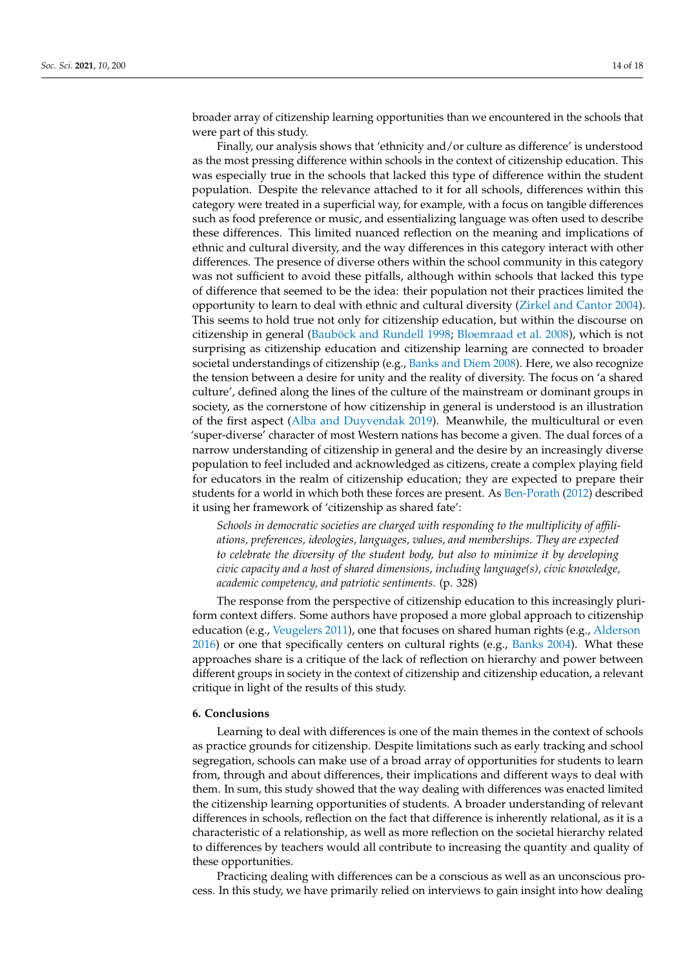broader array of citizenship learning opportunities than we encountered in the schools that were part of this study.

Finally, our analysis shows that 'ethnicity and/or culture as difference' is understood as the most pressing difference within schools in the context of citizenship education. This was especially true in the schools that lacked this type of difference within the student population. Despite the relevance attached to it for all schools, differences within this category were treated in a superficial way, for example, with a focus on tangible differences such as food preference or music, and essentializing language was often used to describe these differences. This limited nuanced reflection on the meaning and implications of ethnic and cultural diversity, and the way differences in this category interact with other differences. The presence of diverse others within the school community in this category was not sufficient to avoid these pitfalls, although within schools that lacked this type of difference that seemed to be the idea: their population not their practices limited the opportunity to learn to deal with ethnic and cultural diversity [\(Zirkel and Cantor](#page-18-0) [2004\)](#page-18-0). This seems to hold true not only for citizenship education, but within the discourse on citizenship in general [\(Bauböck and Rundell](#page-16-20) [1998;](#page-16-20) [Bloemraad et al.](#page-16-21) [2008\)](#page-16-21), which is not surprising as citizenship education and citizenship learning are connected to broader societal understandings of citizenship (e.g., [Banks and Diem](#page-16-22) [2008\)](#page-16-22). Here, we also recognize the tension between a desire for unity and the reality of diversity. The focus on 'a shared culture', defined along the lines of the culture of the mainstream or dominant groups in society, as the cornerstone of how citizenship in general is understood is an illustration of the first aspect [\(Alba and Duyvendak](#page-16-23) [2019\)](#page-16-23). Meanwhile, the multicultural or even 'super-diverse' character of most Western nations has become a given. The dual forces of a narrow understanding of citizenship in general and the desire by an increasingly diverse population to feel included and acknowledged as citizens, create a complex playing field for educators in the realm of citizenship education; they are expected to prepare their students for a world in which both these forces are present. As [Ben-Porath](#page-16-24) [\(2012\)](#page-16-24) described it using her framework of 'citizenship as shared fate':

*Schools in democratic societies are charged with responding to the multiplicity of affiliations, preferences, ideologies, languages, values, and memberships. They are expected to celebrate the diversity of the student body, but also to minimize it by developing civic capacity and a host of shared dimensions, including language(s), civic knowledge, academic competency, and patriotic sentiments.* (p. 328)

The response from the perspective of citizenship education to this increasingly pluriform context differs. Some authors have proposed a more global approach to citizenship education (e.g., [Veugelers](#page-17-8) [2011\)](#page-17-8), one that focuses on shared human rights (e.g., [Alderson](#page-16-25) [2016\)](#page-16-25) or one that specifically centers on cultural rights (e.g., [Banks](#page-16-3) [2004\)](#page-16-3). What these approaches share is a critique of the lack of reflection on hierarchy and power between different groups in society in the context of citizenship and citizenship education, a relevant critique in light of the results of this study.

## **6. Conclusions**

Learning to deal with differences is one of the main themes in the context of schools as practice grounds for citizenship. Despite limitations such as early tracking and school segregation, schools can make use of a broad array of opportunities for students to learn from, through and about differences, their implications and different ways to deal with them. In sum, this study showed that the way dealing with differences was enacted limited the citizenship learning opportunities of students. A broader understanding of relevant differences in schools, reflection on the fact that difference is inherently relational, as it is a characteristic of a relationship, as well as more reflection on the societal hierarchy related to differences by teachers would all contribute to increasing the quantity and quality of these opportunities.

Practicing dealing with differences can be a conscious as well as an unconscious process. In this study, we have primarily relied on interviews to gain insight into how dealing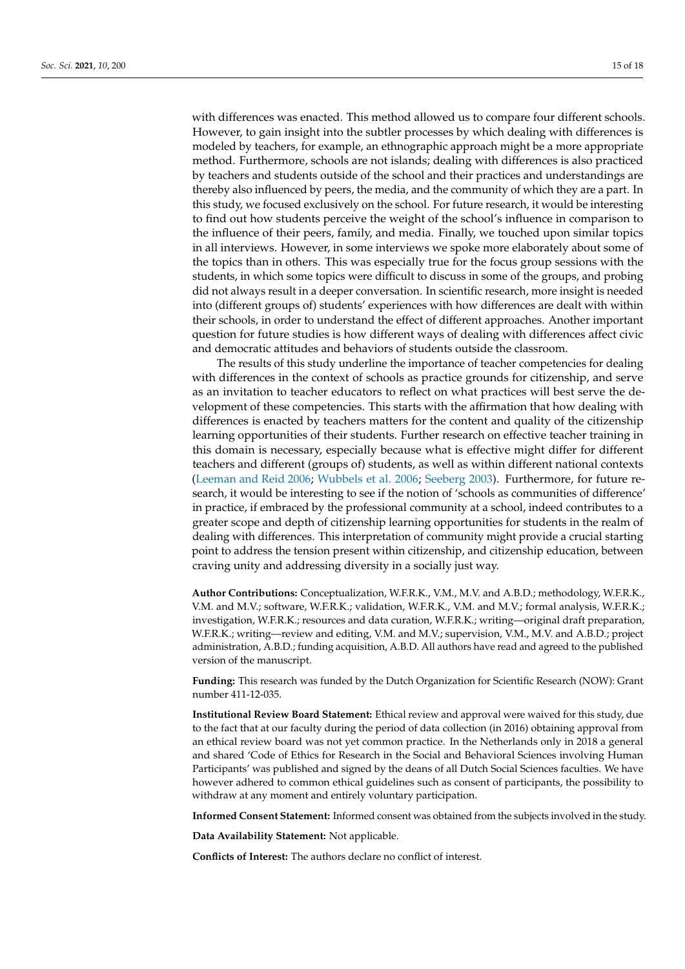with differences was enacted. This method allowed us to compare four different schools. However, to gain insight into the subtler processes by which dealing with differences is modeled by teachers, for example, an ethnographic approach might be a more appropriate method. Furthermore, schools are not islands; dealing with differences is also practiced by teachers and students outside of the school and their practices and understandings are thereby also influenced by peers, the media, and the community of which they are a part. In this study, we focused exclusively on the school. For future research, it would be interesting to find out how students perceive the weight of the school's influence in comparison to the influence of their peers, family, and media. Finally, we touched upon similar topics in all interviews. However, in some interviews we spoke more elaborately about some of the topics than in others. This was especially true for the focus group sessions with the students, in which some topics were difficult to discuss in some of the groups, and probing did not always result in a deeper conversation. In scientific research, more insight is needed into (different groups of) students' experiences with how differences are dealt with within their schools, in order to understand the effect of different approaches. Another important question for future studies is how different ways of dealing with differences affect civic and democratic attitudes and behaviors of students outside the classroom.

The results of this study underline the importance of teacher competencies for dealing with differences in the context of schools as practice grounds for citizenship, and serve as an invitation to teacher educators to reflect on what practices will best serve the development of these competencies. This starts with the affirmation that how dealing with differences is enacted by teachers matters for the content and quality of the citizenship learning opportunities of their students. Further research on effective teacher training in this domain is necessary, especially because what is effective might differ for different teachers and different (groups of) students, as well as within different national contexts [\(Leeman and Reid](#page-17-27) [2006;](#page-17-27) [Wubbels et al.](#page-17-28) [2006;](#page-17-28) [Seeberg](#page-17-29) [2003\)](#page-17-29). Furthermore, for future research, it would be interesting to see if the notion of 'schools as communities of difference' in practice, if embraced by the professional community at a school, indeed contributes to a greater scope and depth of citizenship learning opportunities for students in the realm of dealing with differences. This interpretation of community might provide a crucial starting point to address the tension present within citizenship, and citizenship education, between craving unity and addressing diversity in a socially just way.

**Author Contributions:** Conceptualization, W.F.R.K., V.M., M.V. and A.B.D.; methodology, W.F.R.K., V.M. and M.V.; software, W.F.R.K.; validation, W.F.R.K., V.M. and M.V.; formal analysis, W.F.R.K.; investigation, W.F.R.K.; resources and data curation, W.F.R.K.; writing—original draft preparation, W.F.R.K.; writing—review and editing, V.M. and M.V.; supervision, V.M., M.V. and A.B.D.; project administration, A.B.D.; funding acquisition, A.B.D. All authors have read and agreed to the published version of the manuscript.

**Funding:** This research was funded by the Dutch Organization for Scientific Research (NOW): Grant number 411-12-035.

**Institutional Review Board Statement:** Ethical review and approval were waived for this study, due to the fact that at our faculty during the period of data collection (in 2016) obtaining approval from an ethical review board was not yet common practice. In the Netherlands only in 2018 a general and shared 'Code of Ethics for Research in the Social and Behavioral Sciences involving Human Participants' was published and signed by the deans of all Dutch Social Sciences faculties. We have however adhered to common ethical guidelines such as consent of participants, the possibility to withdraw at any moment and entirely voluntary participation.

**Informed Consent Statement:** Informed consent was obtained from the subjects involved in the study.

**Data Availability Statement:** Not applicable.

**Conflicts of Interest:** The authors declare no conflict of interest.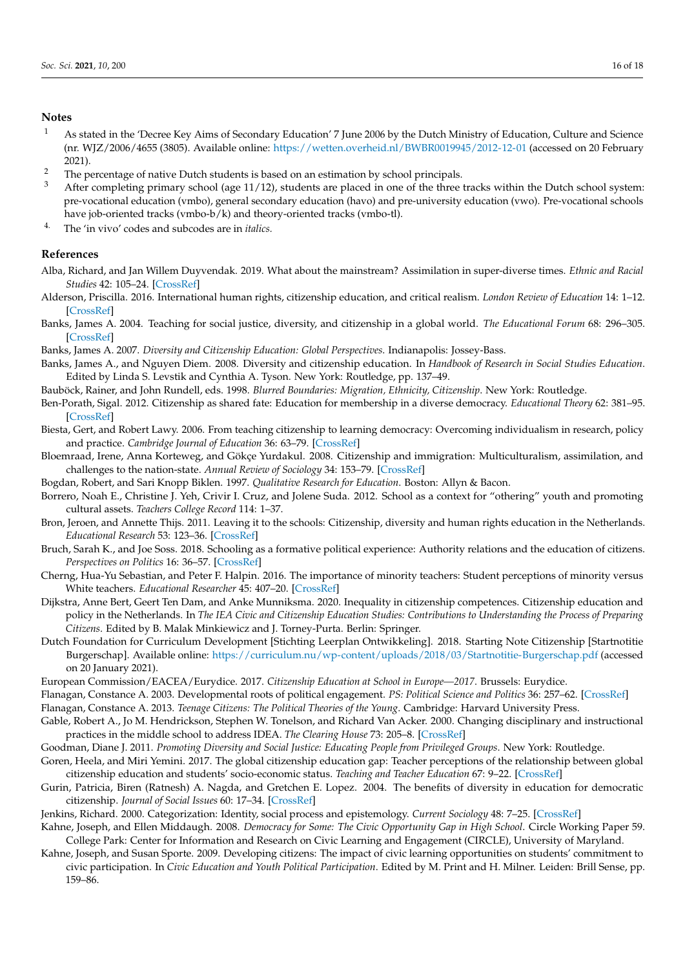#### **Notes**

- <sup>1</sup> As stated in the 'Decree Key Aims of Secondary Education' 7 June 2006 by the Dutch Ministry of Education, Culture and Science (nr. WJZ/2006/4655 (3805). Available online: <https://wetten.overheid.nl/BWBR0019945/2012-12-01> (accessed on 20 February 2021).
- <sup>2</sup> The percentage of native Dutch students is based on an estimation by school principals.<br><sup>3</sup> After some lating native mesheal (and 11/12), students are placed in an a f the three
- After completing primary school (age  $11/12$ ), students are placed in one of the three tracks within the Dutch school system: pre-vocational education (vmbo), general secondary education (havo) and pre-university education (vwo). Pre-vocational schools have job-oriented tracks (vmbo-b/k) and theory-oriented tracks (vmbo-tl).
- 4. The 'in vivo' codes and subcodes are in *italics.*

#### **References**

- <span id="page-16-23"></span>Alba, Richard, and Jan Willem Duyvendak. 2019. What about the mainstream? Assimilation in super-diverse times. *Ethnic and Racial Studies* 42: 105–24. [\[CrossRef\]](http://doi.org/10.1080/01419870.2017.1406127)
- <span id="page-16-25"></span>Alderson, Priscilla. 2016. International human rights, citizenship education, and critical realism. *London Review of Education* 14: 1–12. [\[CrossRef\]](http://doi.org/10.18546/LRE.14.3.01)
- <span id="page-16-3"></span>Banks, James A. 2004. Teaching for social justice, diversity, and citizenship in a global world. *The Educational Forum* 68: 296–305. [\[CrossRef\]](http://doi.org/10.1080/00131720408984645)
- <span id="page-16-1"></span>Banks, James A. 2007. *Diversity and Citizenship Education: Global Perspectives*. Indianapolis: Jossey-Bass.
- <span id="page-16-22"></span>Banks, James A., and Nguyen Diem. 2008. Diversity and citizenship education. In *Handbook of Research in Social Studies Education*. Edited by Linda S. Levstik and Cynthia A. Tyson. New York: Routledge, pp. 137–49.
- <span id="page-16-20"></span>Bauböck, Rainer, and John Rundell, eds. 1998. *Blurred Boundaries: Migration, Ethnicity, Citizenship*. New York: Routledge.
- <span id="page-16-24"></span>Ben-Porath, Sigal. 2012. Citizenship as shared fate: Education for membership in a diverse democracy. *Educational Theory* 62: 381–95. [\[CrossRef\]](http://doi.org/10.1111/j.1741-5446.2012.00452.x)
- <span id="page-16-18"></span>Biesta, Gert, and Robert Lawy. 2006. From teaching citizenship to learning democracy: Overcoming individualism in research, policy and practice. *Cambridge Journal of Education* 36: 63–79. [\[CrossRef\]](http://doi.org/10.1080/03057640500490981)
- <span id="page-16-21"></span>Bloemraad, Irene, Anna Korteweg, and Gökçe Yurdakul. 2008. Citizenship and immigration: Multiculturalism, assimilation, and challenges to the nation-state. *Annual Review of Sociology* 34: 153–79. [\[CrossRef\]](http://doi.org/10.1146/annurev.soc.34.040507.134608)
- <span id="page-16-17"></span>Bogdan, Robert, and Sari Knopp Biklen. 1997. *Qualitative Research for Education*. Boston: Allyn & Bacon.
- <span id="page-16-10"></span>Borrero, Noah E., Christine J. Yeh, Crivir I. Cruz, and Jolene Suda. 2012. School as a context for "othering" youth and promoting cultural assets. *Teachers College Record* 114: 1–37.
- <span id="page-16-14"></span>Bron, Jeroen, and Annette Thijs. 2011. Leaving it to the schools: Citizenship, diversity and human rights education in the Netherlands. *Educational Research* 53: 123–36. [\[CrossRef\]](http://doi.org/10.1080/00131881.2011.572361)
- <span id="page-16-9"></span>Bruch, Sarah K., and Joe Soss. 2018. Schooling as a formative political experience: Authority relations and the education of citizens. *Perspectives on Politics* 16: 36–57. [\[CrossRef\]](http://doi.org/10.1017/S1537592717002195)
- <span id="page-16-11"></span>Cherng, Hua-Yu Sebastian, and Peter F. Halpin. 2016. The importance of minority teachers: Student perceptions of minority versus White teachers. *Educational Researcher* 45: 407–20. [\[CrossRef\]](http://doi.org/10.3102/0013189X16671718)
- <span id="page-16-16"></span>Dijkstra, Anne Bert, Geert Ten Dam, and Anke Munniksma. 2020. Inequality in citizenship competences. Citizenship education and policy in the Netherlands. In *The IEA Civic and Citizenship Education Studies: Contributions to Understanding the Process of Preparing Citizens*. Edited by B. Malak Minkiewicz and J. Torney-Purta. Berlin: Springer.
- <span id="page-16-15"></span>Dutch Foundation for Curriculum Development [Stichting Leerplan Ontwikkeling]. 2018. Starting Note Citizenship [Startnotitie Burgerschap]. Available online: <https://curriculum.nu/wp-content/uploads/2018/03/Startnotitie-Burgerschap.pdf> (accessed on 20 January 2021).
- <span id="page-16-2"></span>European Commission/EACEA/Eurydice. 2017. *Citizenship Education at School in Europe—2017*. Brussels: Eurydice.
- <span id="page-16-7"></span>Flanagan, Constance A. 2003. Developmental roots of political engagement. *PS: Political Science and Politics* 36: 257–62. [\[CrossRef\]](http://doi.org/10.1017/S104909650300218X)
- <span id="page-16-4"></span>Flanagan, Constance A. 2013. *Teenage Citizens: The Political Theories of the Young*. Cambridge: Harvard University Press.
- <span id="page-16-0"></span>Gable, Robert A., Jo M. Hendrickson, Stephen W. Tonelson, and Richard Van Acker. 2000. Changing disciplinary and instructional practices in the middle school to address IDEA. *The Clearing House* 73: 205–8. [\[CrossRef\]](http://doi.org/10.1080/00098650009600951)
- <span id="page-16-19"></span>Goodman, Diane J. 2011. *Promoting Diversity and Social Justice: Educating People from Privileged Groups*. New York: Routledge.
- <span id="page-16-12"></span>Goren, Heela, and Miri Yemini. 2017. The global citizenship education gap: Teacher perceptions of the relationship between global citizenship education and students' socio-economic status. *Teaching and Teacher Education* 67: 9–22. [\[CrossRef\]](http://doi.org/10.1016/j.tate.2017.05.009)
- <span id="page-16-5"></span>Gurin, Patricia, Biren (Ratnesh) A. Nagda, and Gretchen E. Lopez. 2004. The benefits of diversity in education for democratic citizenship. *Journal of Social Issues* 60: 17–34. [\[CrossRef\]](http://doi.org/10.1111/j.0022-4537.2004.00097.x)
- <span id="page-16-6"></span>Jenkins, Richard. 2000. Categorization: Identity, social process and epistemology. *Current Sociology* 48: 7–25. [\[CrossRef\]](http://doi.org/10.1177/0011392100048003003)
- <span id="page-16-13"></span>Kahne, Joseph, and Ellen Middaugh. 2008. *Democracy for Some: The Civic Opportunity Gap in High School*. Circle Working Paper 59. College Park: Center for Information and Research on Civic Learning and Engagement (CIRCLE), University of Maryland.
- <span id="page-16-8"></span>Kahne, Joseph, and Susan Sporte. 2009. Developing citizens: The impact of civic learning opportunities on students' commitment to civic participation. In *Civic Education and Youth Political Participation*. Edited by M. Print and H. Milner. Leiden: Brill Sense, pp. 159–86.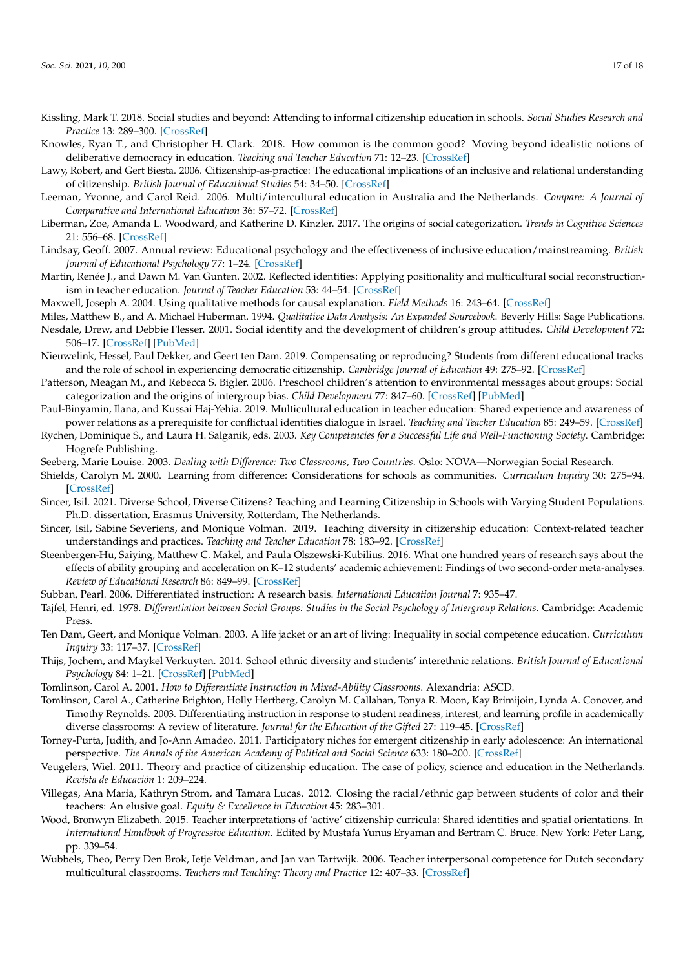- <span id="page-17-14"></span>Kissling, Mark T. 2018. Social studies and beyond: Attending to informal citizenship education in schools. *Social Studies Research and Practice* 13: 289–300. [\[CrossRef\]](http://doi.org/10.1108/SSRP-06-2017-0033)
- <span id="page-17-24"></span>Knowles, Ryan T., and Christopher H. Clark. 2018. How common is the common good? Moving beyond idealistic notions of deliberative democracy in education. *Teaching and Teacher Education* 71: 12–23. [\[CrossRef\]](http://doi.org/10.1016/j.tate.2017.12.002)
- <span id="page-17-7"></span>Lawy, Robert, and Gert Biesta. 2006. Citizenship-as-practice: The educational implications of an inclusive and relational understanding of citizenship. *British Journal of Educational Studies* 54: 34–50. [\[CrossRef\]](http://doi.org/10.1111/j.1467-8527.2006.00335.x)
- <span id="page-17-27"></span>Leeman, Yvonne, and Carol Reid. 2006. Multi/intercultural education in Australia and the Netherlands. *Compare: A Journal of Comparative and International Education* 36: 57–72. [\[CrossRef\]](http://doi.org/10.1080/03057920500382325)
- <span id="page-17-10"></span>Liberman, Zoe, Amanda L. Woodward, and Katherine D. Kinzler. 2017. The origins of social categorization. *Trends in Cognitive Sciences* 21: 556–68. [\[CrossRef\]](http://doi.org/10.1016/j.tics.2017.04.004)
- <span id="page-17-0"></span>Lindsay, Geoff. 2007. Annual review: Educational psychology and the effectiveness of inclusive education/mainstreaming. *British Journal of Educational Psychology* 77: 1–24. [\[CrossRef\]](http://doi.org/10.1348/000709906X156881)
- <span id="page-17-22"></span>Martin, Renée J., and Dawn M. Van Gunten. 2002. Reflected identities: Applying positionality and multicultural social reconstructionism in teacher education. *Journal of Teacher Education* 53: 44–54. [\[CrossRef\]](http://doi.org/10.1177/0022487102053001005)
- <span id="page-17-20"></span>Maxwell, Joseph A. 2004. Using qualitative methods for causal explanation. *Field Methods* 16: 243–64. [\[CrossRef\]](http://doi.org/10.1177/1525822X04266831)
- <span id="page-17-21"></span><span id="page-17-12"></span>Miles, Matthew B., and A. Michael Huberman. 1994. *Qualitative Data Analysis: An Expanded Sourcebook*. Beverly Hills: Sage Publications. Nesdale, Drew, and Debbie Flesser. 2001. Social identity and the development of children's group attitudes. *Child Development* 72: 506–17. [\[CrossRef\]](http://doi.org/10.1111/1467-8624.00293) [\[PubMed\]](http://www.ncbi.nlm.nih.gov/pubmed/11333081)
- <span id="page-17-16"></span>Nieuwelink, Hessel, Paul Dekker, and Geert ten Dam. 2019. Compensating or reproducing? Students from different educational tracks and the role of school in experiencing democratic citizenship. *Cambridge Journal of Education* 49: 275–92. [\[CrossRef\]](http://doi.org/10.1080/0305764X.2018.1529738)
- <span id="page-17-11"></span>Patterson, Meagan M., and Rebecca S. Bigler. 2006. Preschool children's attention to environmental messages about groups: Social categorization and the origins of intergroup bias. *Child Development* 77: 847–60. [\[CrossRef\]](http://doi.org/10.1111/j.1467-8624.2006.00906.x) [\[PubMed\]](http://www.ncbi.nlm.nih.gov/pubmed/16942493)
- <span id="page-17-23"></span>Paul-Binyamin, Ilana, and Kussai Haj-Yehia. 2019. Multicultural education in teacher education: Shared experience and awareness of power relations as a prerequisite for conflictual identities dialogue in Israel. *Teaching and Teacher Education* 85: 249–59. [\[CrossRef\]](http://doi.org/10.1016/j.tate.2019.06.021)
- <span id="page-17-6"></span>Rychen, Dominique S., and Laura H. Salganik, eds. 2003. *Key Competencies for a Successful Life and Well-Functioning Society*. Cambridge: Hogrefe Publishing.
- <span id="page-17-29"></span>Seeberg, Marie Louise. 2003. *Dealing with Difference: Two Classrooms, Two Countries*. Oslo: NOVA—Norwegian Social Research.
- <span id="page-17-26"></span>Shields, Carolyn M. 2000. Learning from difference: Considerations for schools as communities. *Curriculum Inquiry* 30: 275–94. [\[CrossRef\]](http://doi.org/10.1111/0362-6784.00166)
- <span id="page-17-25"></span>Sincer, Isil. 2021. Diverse School, Diverse Citizens? Teaching and Learning Citizenship in Schools with Varying Student Populations. Ph.D. dissertation, Erasmus University, Rotterdam, The Netherlands.
- <span id="page-17-18"></span>Sincer, Isil, Sabine Severiens, and Monique Volman. 2019. Teaching diversity in citizenship education: Context-related teacher understandings and practices. *Teaching and Teacher Education* 78: 183–92. [\[CrossRef\]](http://doi.org/10.1016/j.tate.2018.11.015)
- <span id="page-17-1"></span>Steenbergen-Hu, Saiying, Matthew C. Makel, and Paula Olszewski-Kubilius. 2016. What one hundred years of research says about the effects of ability grouping and acceleration on K–12 students' academic achievement: Findings of two second-order meta-analyses. *Review of Educational Research* 86: 849–99. [\[CrossRef\]](http://doi.org/10.3102/0034654316675417)
- <span id="page-17-4"></span>Subban, Pearl. 2006. Differentiated instruction: A research basis. *International Education Journal* 7: 935–47.
- <span id="page-17-9"></span>Tajfel, Henri, ed. 1978. *Differentiation between Social Groups: Studies in the Social Psychology of Intergroup Relations*. Cambridge: Academic Press.
- <span id="page-17-17"></span>Ten Dam, Geert, and Monique Volman. 2003. A life jacket or an art of living: Inequality in social competence education. *Curriculum Inquiry* 33: 117–37. [\[CrossRef\]](http://doi.org/10.1111/1467-873X.00254)
- <span id="page-17-2"></span>Thijs, Jochem, and Maykel Verkuyten. 2014. School ethnic diversity and students' interethnic relations. *British Journal of Educational Psychology* 84: 1–21. [\[CrossRef\]](http://doi.org/10.1111/bjep.12032) [\[PubMed\]](http://www.ncbi.nlm.nih.gov/pubmed/24359400)
- <span id="page-17-5"></span>Tomlinson, Carol A. 2001. *How to Differentiate Instruction in Mixed-Ability Classrooms*. Alexandria: ASCD.
- <span id="page-17-3"></span>Tomlinson, Carol A., Catherine Brighton, Holly Hertberg, Carolyn M. Callahan, Tonya R. Moon, Kay Brimijoin, Lynda A. Conover, and Timothy Reynolds. 2003. Differentiating instruction in response to student readiness, interest, and learning profile in academically diverse classrooms: A review of literature. *Journal for the Education of the Gifted* 27: 119–45. [\[CrossRef\]](http://doi.org/10.1177/016235320302700203)
- <span id="page-17-13"></span>Torney-Purta, Judith, and Jo-Ann Amadeo. 2011. Participatory niches for emergent citizenship in early adolescence: An international perspective. *The Annals of the American Academy of Political and Social Science* 633: 180–200. [\[CrossRef\]](http://doi.org/10.1177/0002716210384220)
- <span id="page-17-8"></span>Veugelers, Wiel. 2011. Theory and practice of citizenship education. The case of policy, science and education in the Netherlands. *Revista de Educación* 1: 209–224.
- <span id="page-17-15"></span>Villegas, Ana Maria, Kathryn Strom, and Tamara Lucas. 2012. Closing the racial/ethnic gap between students of color and their teachers: An elusive goal. *Equity & Excellence in Education* 45: 283–301.
- <span id="page-17-19"></span>Wood, Bronwyn Elizabeth. 2015. Teacher interpretations of 'active' citizenship curricula: Shared identities and spatial orientations. In *International Handbook of Progressive Education*. Edited by Mustafa Yunus Eryaman and Bertram C. Bruce. New York: Peter Lang, pp. 339–54.
- <span id="page-17-28"></span>Wubbels, Theo, Perry Den Brok, Ietje Veldman, and Jan van Tartwijk. 2006. Teacher interpersonal competence for Dutch secondary multicultural classrooms. *Teachers and Teaching: Theory and Practice* 12: 407–33. [\[CrossRef\]](http://doi.org/10.1080/13450600600644269)